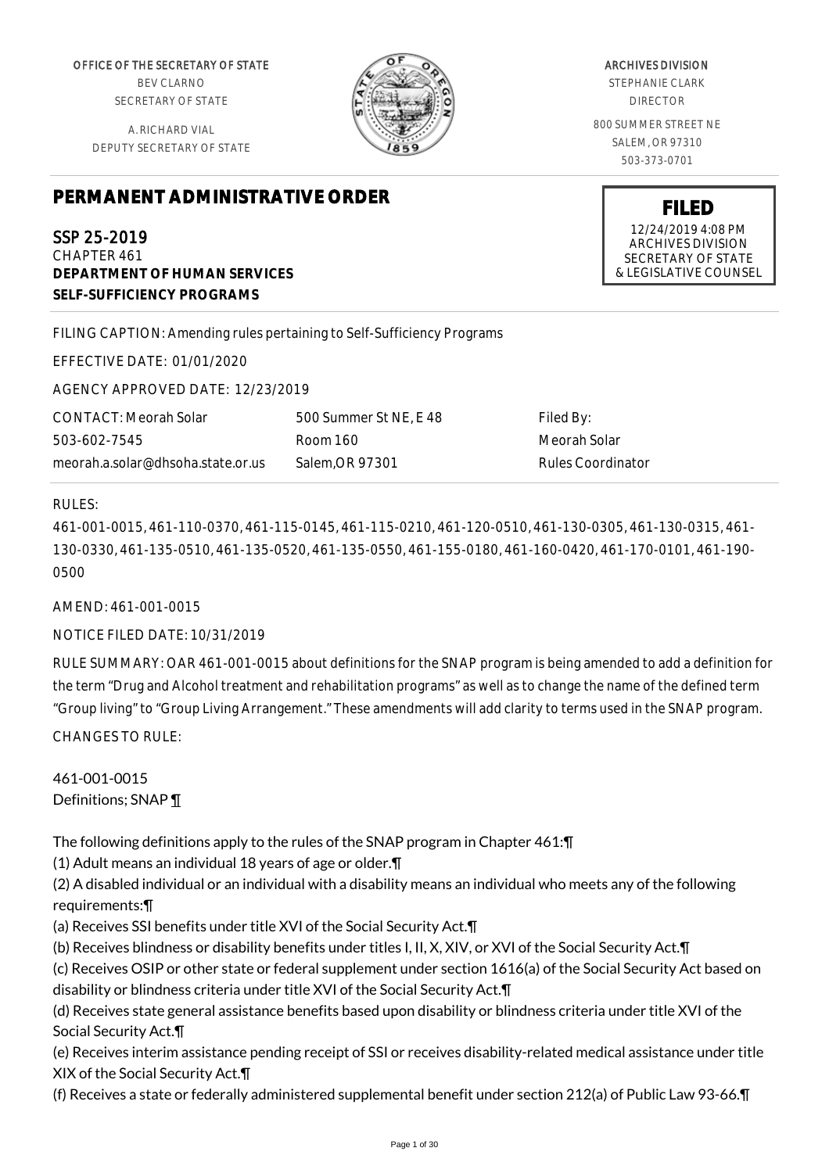OFFICE OF THE SECRETARY OF STATE BEV CLARNO SECRETARY OF STATE

A. RICHARD VIAL DEPUTY SECRETARY OF STATE

ARCHIVES DIVISION STEPHANIE CLARK DIRECTOR 800 SUMMER STREET NE SALEM, OR 97310 503-373-0701

> **FILED** 12/24/2019 4:08 PM ARCHIVES DIVISION SECRETARY OF STATE & LEGISLATIVE COUNSEL

**PERMANENT ADMINISTRATIVE ORDER**

SSP 25-2019 CHAPTER 461 **DEPARTMENT OF HUMAN SERVICES SELF-SUFFICIENCY PROGRAMS**

FILING CAPTION: Amending rules pertaining to Self-Sufficiency Programs

EFFECTIVE DATE: 01/01/2020

AGENCY APPROVED DATE: 12/23/2019

CONTACT: Meorah Solar 503-602-7545 meorah.a.solar@dhsoha.state.or.us

500 Summer St NE, E 48 Room 160 Salem,OR 97301

Filed By: Meorah Solar Rules Coordinator

# RULES:

461-001-0015, 461-110-0370, 461-115-0145, 461-115-0210, 461-120-0510, 461-130-0305, 461-130-0315, 461- 130-0330, 461-135-0510, 461-135-0520, 461-135-0550, 461-155-0180, 461-160-0420, 461-170-0101, 461-190- 0500

AMEND: 461-001-0015

NOTICE FILED DATE: 10/31/2019

RULE SUMMARY: OAR 461-001-0015 about definitions for the SNAP program is being amended to add a definition for the term "Drug and Alcohol treatment and rehabilitation programs" as well as to change the name of the defined term "Group living" to "Group Living Arrangement." These amendments will add clarity to terms used in the SNAP program.

CHANGES TO RULE:

461-001-0015 Definitions; SNAP 1

The following definitions apply to the rules of the SNAP program in Chapter 461:¶

(1) Adult means an individual 18 years of age or older.¶

(2) A disabled individual or an individual with a disability means an individual who meets any of the following requirements:¶

(a) Receives SSI benefits under title XVI of the Social Security Act.¶

(b) Receives blindness or disability benefits under titles I, II, X, XIV, or XVI of the Social Security Act.¶

(c) Receives OSIP or other state or federal supplement under section 1616(a) of the Social Security Act based on disability or blindness criteria under title XVI of the Social Security Act.¶

(d) Receives state general assistance benefits based upon disability or blindness criteria under title XVI of the Social Security Act.¶

(e) Receives interim assistance pending receipt of SSI or receives disability-related medical assistance under title XIX of the Social Security Act.¶

(f) Receives a state or federally administered supplemental benefit under section 212(a) of Public Law 93-66.¶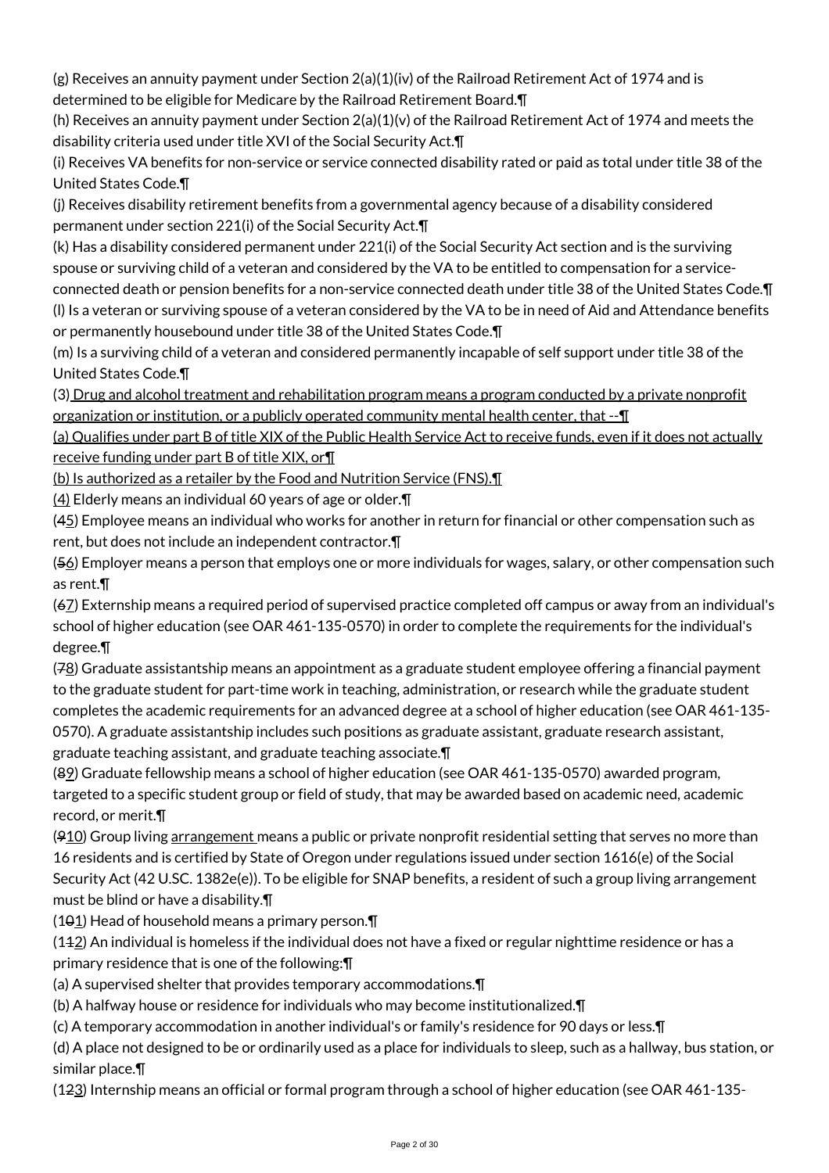(g) Receives an annuity payment under Section 2(a)(1)(iv) of the Railroad Retirement Act of 1974 and is determined to be eligible for Medicare by the Railroad Retirement Board.¶

(h) Receives an annuity payment under Section 2(a)(1)(v) of the Railroad Retirement Act of 1974 and meets the disability criteria used under title XVI of the Social Security Act.¶

(i) Receives VA benefits for non-service or service connected disability rated or paid as total under title 38 of the United States Code.¶

(j) Receives disability retirement benefits from a governmental agency because of a disability considered permanent under section 221(i) of the Social Security Act.¶

(k) Has a disability considered permanent under 221(i) of the Social Security Act section and is the surviving spouse or surviving child of a veteran and considered by the VA to be entitled to compensation for a service-

connected death or pension benefits for a non-service connected death under title 38 of the United States Code.¶ (l) Is a veteran or surviving spouse of a veteran considered by the VA to be in need of Aid and Attendance benefits or permanently housebound under title 38 of the United States Code.¶

(m) Is a surviving child of a veteran and considered permanently incapable of self support under title 38 of the United States Code.¶

(3) Drug and alcohol treatment and rehabilitation program means a program conducted by a private nonprofit organization or institution, or a publicly operated community mental health center, that --¶

(a) Qualifies under part B of title XIX of the Public Health Service Act to receive funds, even if it does not actually receive funding under part B of title XIX, or¶

(b) Is authorized as a retailer by the Food and Nutrition Service (FNS).¶

(4) Elderly means an individual 60 years of age or older.¶

(45) Employee means an individual who works for another in return for financial or other compensation such as rent, but does not include an independent contractor.¶

(56) Employer means a person that employs one or more individuals for wages, salary, or other compensation such as rent.¶

(67) Externship means a required period of supervised practice completed off campus or away from an individual's school of higher education (see OAR 461-135-0570) in order to complete the requirements for the individual's degree.¶

(78) Graduate assistantship means an appointment as a graduate student employee offering a financial payment to the graduate student for part-time work in teaching, administration, or research while the graduate student completes the academic requirements for an advanced degree at a school of higher education (see OAR 461-135- 0570). A graduate assistantship includes such positions as graduate assistant, graduate research assistant, graduate teaching assistant, and graduate teaching associate.¶

(89) Graduate fellowship means a school of higher education (see OAR 461-135-0570) awarded program, targeted to a specific student group or field of study, that may be awarded based on academic need, academic record, or merit.¶

 $(910)$  Group living arrangement means a public or private nonprofit residential setting that serves no more than 16 residents and is certified by State of Oregon under regulations issued under section 1616(e) of the Social Security Act (42 U.SC. 1382e(e)). To be eligible for SNAP benefits, a resident of such a group living arrangement must be blind or have a disability.¶

 $(101)$  Head of household means a primary person.  $\P$ 

 $(142)$  An individual is homeless if the individual does not have a fixed or regular nighttime residence or has a primary residence that is one of the following:¶

(a) A supervised shelter that provides temporary accommodations.¶

(b) A halfway house or residence for individuals who may become institutionalized.¶

(c) A temporary accommodation in another individual's or family's residence for 90 days or less.¶

(d) A place not designed to be or ordinarily used as a place for individuals to sleep, such as a hallway, bus station, or similar place.¶

(123) Internship means an official or formal program through a school of higher education (see OAR 461-135-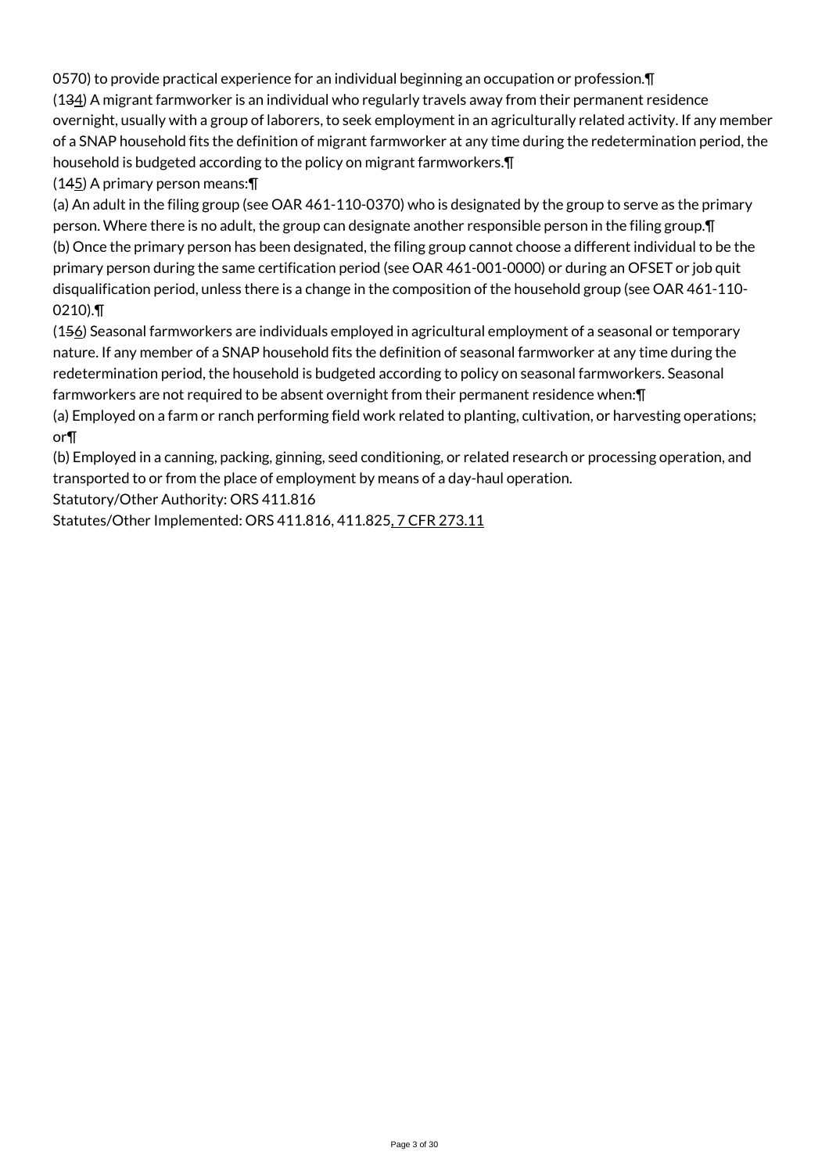0570) to provide practical experience for an individual beginning an occupation or profession.¶ (134) A migrant farmworker is an individual who regularly travels away from their permanent residence overnight, usually with a group of laborers, to seek employment in an agriculturally related activity. If any member of a SNAP household fits the definition of migrant farmworker at any time during the redetermination period, the household is budgeted according to the policy on migrant farmworkers.¶

 $(145)$  A primary person means:  $\P$ 

(a) An adult in the filing group (see OAR 461-110-0370) who is designated by the group to serve as the primary person. Where there is no adult, the group can designate another responsible person in the filing group.¶ (b) Once the primary person has been designated, the filing group cannot choose a different individual to be the primary person during the same certification period (see OAR 461-001-0000) or during an OFSET or job quit disqualification period, unless there is a change in the composition of the household group (see OAR 461-110- 0210).¶

(156) Seasonal farmworkers are individuals employed in agricultural employment of a seasonal or temporary nature. If any member of a SNAP household fits the definition of seasonal farmworker at any time during the redetermination period, the household is budgeted according to policy on seasonal farmworkers. Seasonal farmworkers are not required to be absent overnight from their permanent residence when:¶

(a) Employed on a farm or ranch performing field work related to planting, cultivation, or harvesting operations; or¶

(b) Employed in a canning, packing, ginning, seed conditioning, or related research or processing operation, and transported to or from the place of employment by means of a day-haul operation.

Statutory/Other Authority: ORS 411.816

Statutes/Other Implemented: ORS 411.816, 411.825, 7 CFR 273.11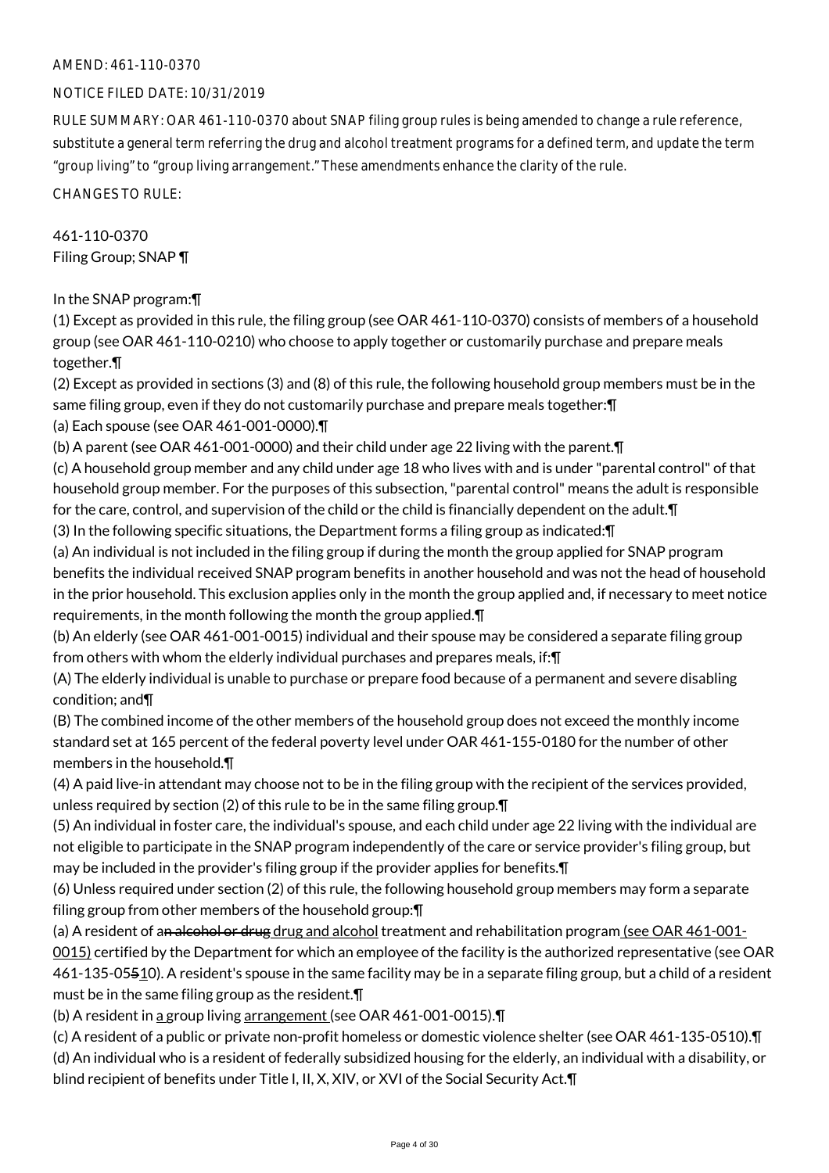# AMEND: 461-110-0370

### NOTICE FILED DATE: 10/31/2019

RULE SUMMARY: OAR 461-110-0370 about SNAP filing group rules is being amended to change a rule reference, substitute a general term referring the drug and alcohol treatment programs for a defined term, and update the term "group living" to "group living arrangement." These amendments enhance the clarity of the rule.

CHANGES TO RULE:

461-110-0370 Filing Group; SNAP ¶

In the SNAP program:¶

(1) Except as provided in this rule, the filing group (see OAR 461-110-0370) consists of members of a household group (see OAR 461-110-0210) who choose to apply together or customarily purchase and prepare meals together.¶

(2) Except as provided in sections (3) and (8) of this rule, the following household group members must be in the same filing group, even if they do not customarily purchase and prepare meals together: [1]

(a) Each spouse (see OAR 461-001-0000).¶

(b) A parent (see OAR 461-001-0000) and their child under age 22 living with the parent.¶

(c) A household group member and any child under age 18 who lives with and is under "parental control" of that household group member. For the purposes of this subsection, "parental control" means the adult is responsible for the care, control, and supervision of the child or the child is financially dependent on the adult.¶

(3) In the following specific situations, the Department forms a filing group as indicated:¶

(a) An individual is not included in the filing group if during the month the group applied for SNAP program benefits the individual received SNAP program benefits in another household and was not the head of household in the prior household. This exclusion applies only in the month the group applied and, if necessary to meet notice requirements, in the month following the month the group applied.¶

(b) An elderly (see OAR 461-001-0015) individual and their spouse may be considered a separate filing group from others with whom the elderly individual purchases and prepares meals, if:¶

(A) The elderly individual is unable to purchase or prepare food because of a permanent and severe disabling condition; and¶

(B) The combined income of the other members of the household group does not exceed the monthly income standard set at 165 percent of the federal poverty level under OAR 461-155-0180 for the number of other members in the household.¶

(4) A paid live-in attendant may choose not to be in the filing group with the recipient of the services provided, unless required by section (2) of this rule to be in the same filing group.¶

(5) An individual in foster care, the individual's spouse, and each child under age 22 living with the individual are not eligible to participate in the SNAP program independently of the care or service provider's filing group, but may be included in the provider's filing group if the provider applies for benefits.¶

(6) Unless required under section (2) of this rule, the following household group members may form a separate filing group from other members of the household group:¶

(a) A resident of an alcohol or drug drug and alcohol treatment and rehabilitation program (see OAR  $461$ -001-0015) certified by the Department for which an employee of the facility is the authorized representative (see OAR 461-135-05510). A resident's spouse in the same facility may be in a separate filing group, but a child of a resident must be in the same filing group as the resident.¶

(b) A resident in a group living arrangement (see OAR 461-001-0015).¶

(c) A resident of a public or private non-profit homeless or domestic violence shelter (see OAR 461-135-0510).¶

(d) An individual who is a resident of federally subsidized housing for the elderly, an individual with a disability, or blind recipient of benefits under Title I, II, X, XIV, or XVI of the Social Security Act.¶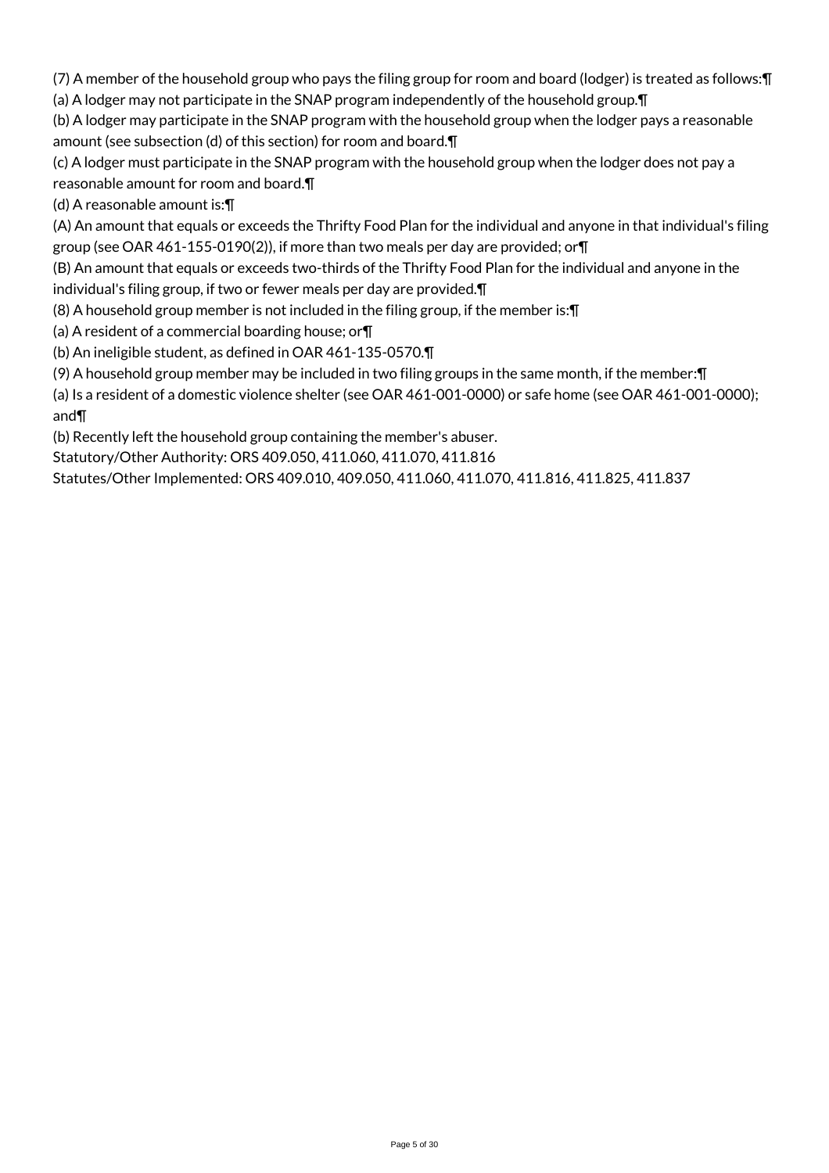(7) A member of the household group who pays the filing group for room and board (lodger) is treated as follows:¶ (a) A lodger may not participate in the SNAP program independently of the household group.¶

(b) A lodger may participate in the SNAP program with the household group when the lodger pays a reasonable amount (see subsection (d) of this section) for room and board.¶

(c) A lodger must participate in the SNAP program with the household group when the lodger does not pay a reasonable amount for room and board.¶

(d) A reasonable amount is:¶

(A) An amount that equals or exceeds the Thrifty Food Plan for the individual and anyone in that individual's filing group (see OAR 461-155-0190(2)), if more than two meals per day are provided; or¶

(B) An amount that equals or exceeds two-thirds of the Thrifty Food Plan for the individual and anyone in the

individual's filing group, if two or fewer meals per day are provided.¶

(8) A household group member is not included in the filing group, if the member is:¶

(a) A resident of a commercial boarding house; or¶

(b) An ineligible student, as defined in OAR 461-135-0570.¶

(9) A household group member may be included in two filing groups in the same month, if the member:¶

(a) Is a resident of a domestic violence shelter (see OAR 461-001-0000) or safe home (see OAR 461-001-0000); and¶

(b) Recently left the household group containing the member's abuser.

Statutory/Other Authority: ORS 409.050, 411.060, 411.070, 411.816

Statutes/Other Implemented: ORS 409.010, 409.050, 411.060, 411.070, 411.816, 411.825, 411.837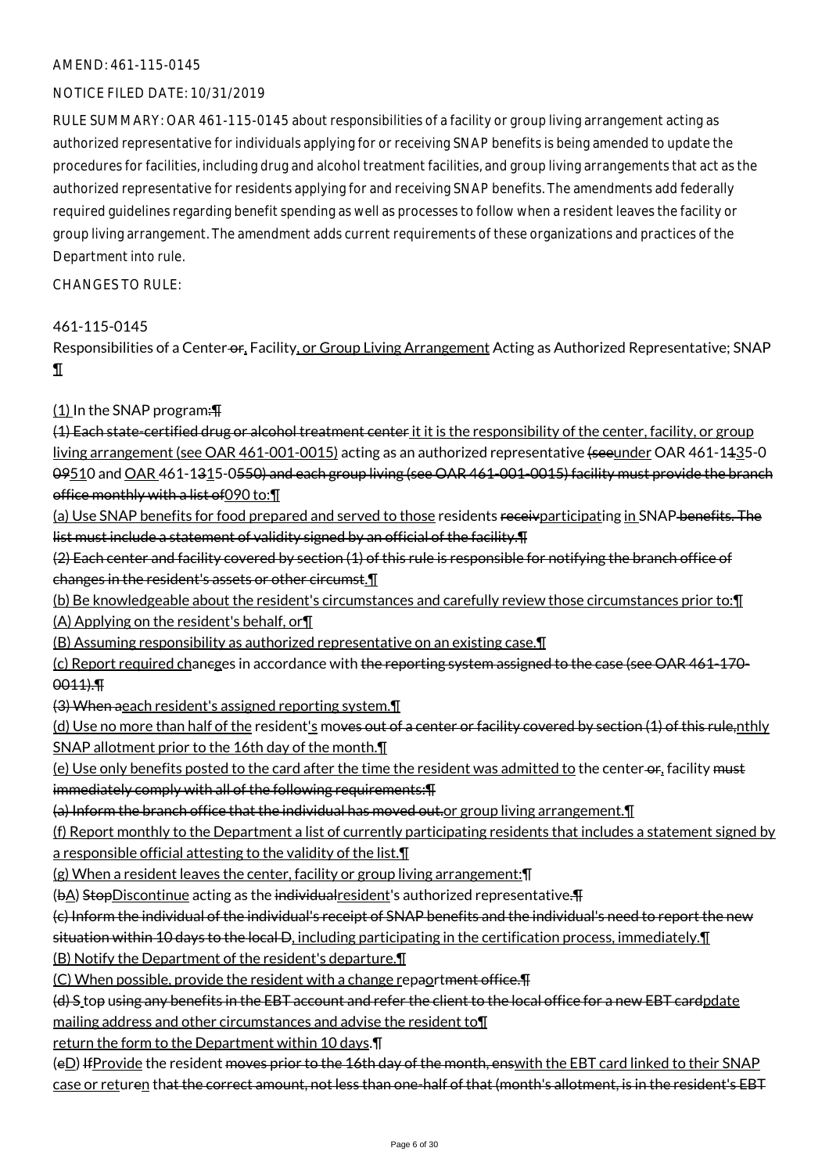### AMEND: 461-115-0145

# NOTICE FILED DATE: 10/31/2019

RULE SUMMARY: OAR 461-115-0145 about responsibilities of a facility or group living arrangement acting as authorized representative for individuals applying for or receiving SNAP benefits is being amended to update the procedures for facilities, including drug and alcohol treatment facilities, and group living arrangements that act as the authorized representative for residents applying for and receiving SNAP benefits. The amendments add federally required guidelines regarding benefit spending as well as processes to follow when a resident leaves the facility or group living arrangement. The amendment adds current requirements of these organizations and practices of the Department into rule.

CHANGES TO RULE:

### 461-115-0145

Responsibilities of a Center-or, Facility, or Group Living Arrangement Acting as Authorized Representative; SNAP ¶

# (1) In the SNAP program:¶

(4) Each state-certified drug or alcohol treatment center it it is the responsibility of the center, facility, or group living arrangement (see OAR 461-001-0015) acting as an authorized representative (seeunder OAR 461-1435-0 09510 and OAR 461-1315-0550) and each group living (see OAR 461-001-0015) facility must provide the branch office monthly with a list of 090 to: [1]

(a) Use SNAP benefits for food prepared and served to those residents receivparticipating in SNAP benefits. The list must include a statement of validity signed by an official of the facility. I

(2) Each center and facility covered by section (1) of this rule is responsible for notifying the branch office of changes in the resident's assets or other circumst.¶

(b) Be knowledgeable about the resident's circumstances and carefully review those circumstances prior to:¶ (A) Applying on the resident's behalf, or¶

(B) Assuming responsibility as authorized representative on an existing case.¶

(c) Report required chancges in accordance with the reporting system assigned to the case (see OAR 461-170- 0011).¶

(3) When aeach resident's assigned reporting system.¶

(d) Use no more than half of the resident's moves out of a center or facility covered by section (1) of this rule,nthly SNAP allotment prior to the 16th day of the month.¶

(e) Use only benefits posted to the card after the time the resident was admitted to the center-or, facility must immediately comply with all of the following requirements:¶

(a) Inform the branch office that the individual has moved out.or group living arrangement.¶

(f) Report monthly to the Department a list of currently participating residents that includes a statement signed by a responsible official attesting to the validity of the list.¶

(g) When a resident leaves the center, facility or group living arrangement:¶

(bA) StopDiscontinue acting as the individual resident's authorized representative.

(c) Inform the individual of the individual's receipt of SNAP benefits and the individual's need to report the new

situation within 10 days to the local D, including participating in the certification process, immediately.¶

(B) Notify the Department of the resident's departure.¶

(C) When possible, provide the resident with a change repaortment office.¶

(d) S top using any benefits in the EBT account and refer the client to the local office for a new EBT cardpdate mailing address and other circumstances and advise the resident to¶

return the form to the Department within 10 days.¶

(eD) If Provide the resident moves prior to the 16th day of the month, enswith the EBT card linked to their SNAP case or returen that the correct amount, not less than one-half of that (month's allotment, is in the resident's EBT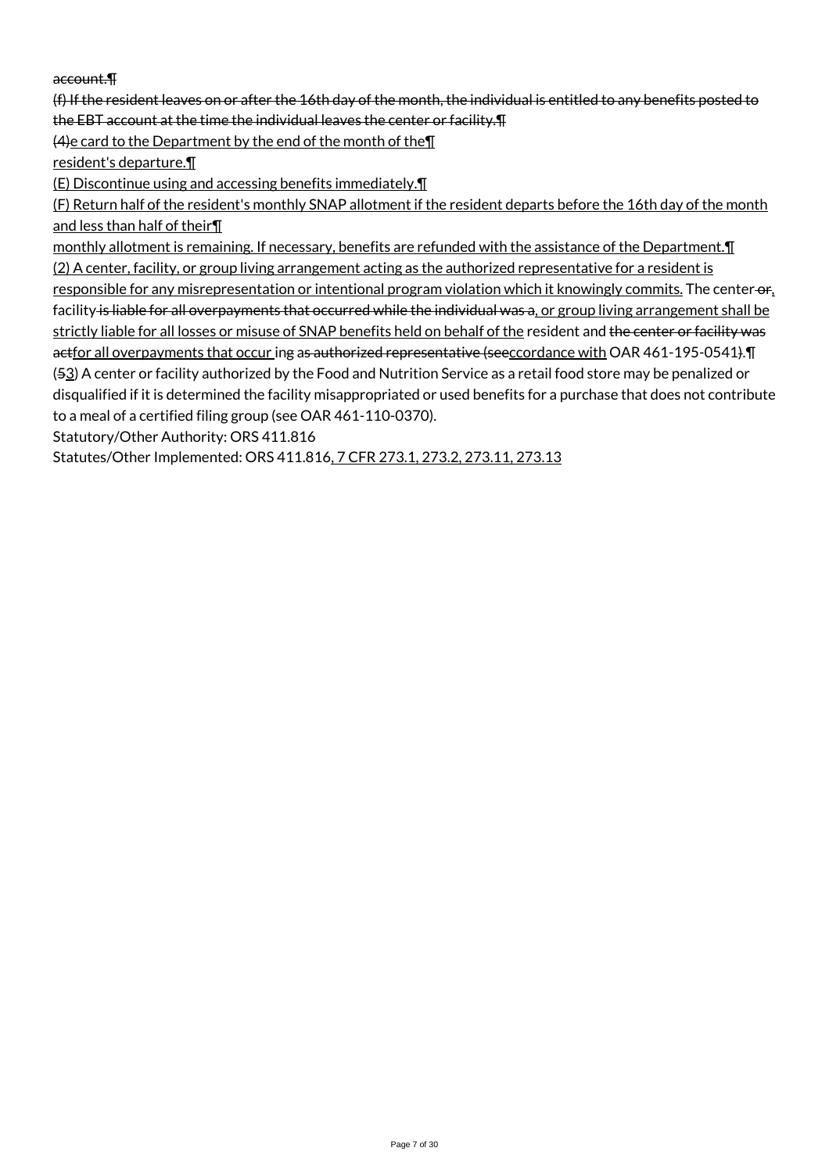# account.¶

(f) If the resident leaves on or after the 16th day of the month, the individual is entitled to any benefits posted to the EBT account at the time the individual leaves the center or facility.¶

(4)e card to the Department by the end of the month of the¶

resident's departure.¶

(E) Discontinue using and accessing benefits immediately.¶

(F) Return half of the resident's monthly SNAP allotment if the resident departs before the 16th day of the month and less than half of their¶

monthly allotment is remaining. If necessary, benefits are refunded with the assistance of the Department. I (2) A center, facility, or group living arrangement acting as the authorized representative for a resident is

responsible for any misrepresentation or intentional program violation which it knowingly commits. The center-or, facility is liable for all overpayments that occurred while the individual was a, or group living arrangement shall be strictly liable for all losses or misuse of SNAP benefits held on behalf of the resident and the center or facility was actfor all overpayments that occur ing as authorized representative (seeccordance with OAR 461-195-0541). The (53) A center or facility authorized by the Food and Nutrition Service as a retail food store may be penalized or disqualified if it is determined the facility misappropriated or used benefits for a purchase that does not contribute to a meal of a certified filing group (see OAR 461-110-0370).

Statutory/Other Authority: ORS 411.816

Statutes/Other Implemented: ORS 411.816, 7 CFR 273.1, 273.2, 273.11, 273.13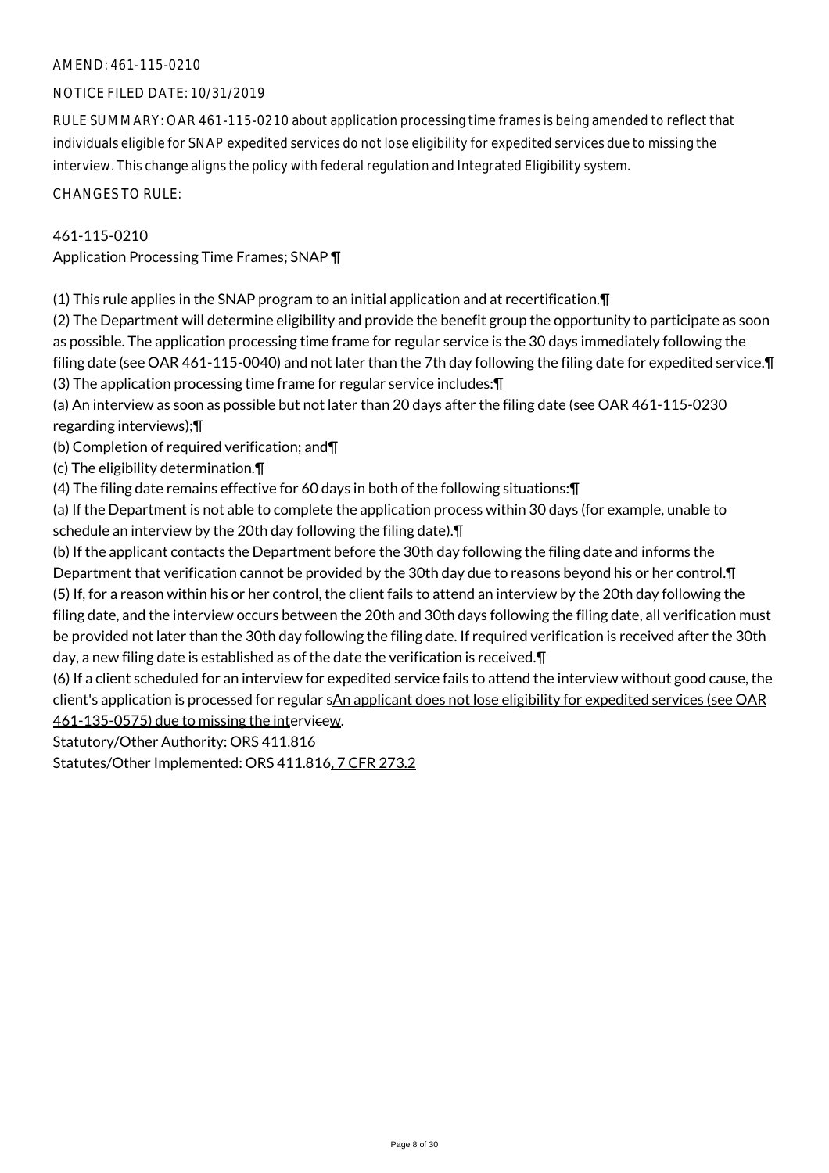# AMEND: 461-115-0210

# NOTICE FILED DATE: 10/31/2019

RULE SUMMARY: OAR 461-115-0210 about application processing time frames is being amended to reflect that individuals eligible for SNAP expedited services do not lose eligibility for expedited services due to missing the interview. This change aligns the policy with federal regulation and Integrated Eligibility system.

CHANGES TO RULE:

### 461-115-0210

Application Processing Time Frames; SNAP ¶

(1) This rule applies in the SNAP program to an initial application and at recertification.¶

(2) The Department will determine eligibility and provide the benefit group the opportunity to participate as soon as possible. The application processing time frame for regular service is the 30 days immediately following the filing date (see OAR 461-115-0040) and not later than the 7th day following the filing date for expedited service.¶ (3) The application processing time frame for regular service includes:¶

(a) An interview as soon as possible but not later than 20 days after the filing date (see OAR 461-115-0230 regarding interviews);¶

(b) Completion of required verification; and¶

(c) The eligibility determination.¶

(4) The filing date remains effective for 60 days in both of the following situations:¶

(a) If the Department is not able to complete the application process within 30 days (for example, unable to schedule an interview by the 20th day following the filing date).¶

(b) If the applicant contacts the Department before the 30th day following the filing date and informs the Department that verification cannot be provided by the 30th day due to reasons beyond his or her control.¶ (5) If, for a reason within his or her control, the client fails to attend an interview by the 20th day following the filing date, and the interview occurs between the 20th and 30th days following the filing date, all verification must be provided not later than the 30th day following the filing date. If required verification is received after the 30th day, a new filing date is established as of the date the verification is received.¶

(6) If a client scheduled for an interview for expedited service fails to attend the interview without good cause, the client's application is processed for regular sAn applicant does not lose eligibility for expedited services (see OAR 461-135-0575) due to missing the intervieew.

Statutory/Other Authority: ORS 411.816

Statutes/Other Implemented: ORS 411.816, 7 CFR 273.2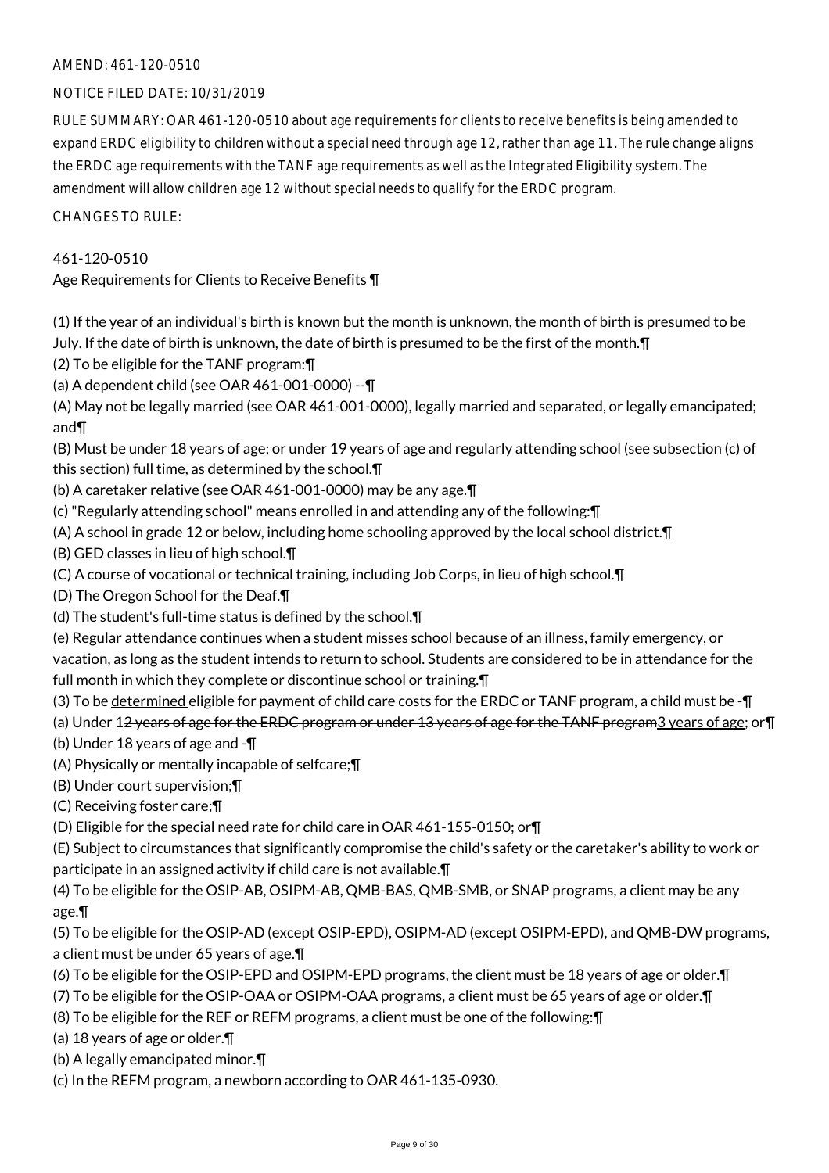# AMEND: 461-120-0510

# NOTICE FILED DATE: 10/31/2019

RULE SUMMARY: OAR 461-120-0510 about age requirements for clients to receive benefits is being amended to expand ERDC eligibility to children without a special need through age 12, rather than age 11. The rule change aligns the ERDC age requirements with the TANF age requirements as well as the Integrated Eligibility system. The amendment will allow children age 12 without special needs to qualify for the ERDC program.

CHANGES TO RULE:

### 461-120-0510

Age Requirements for Clients to Receive Benefits ¶

(1) If the year of an individual's birth is known but the month is unknown, the month of birth is presumed to be July. If the date of birth is unknown, the date of birth is presumed to be the first of the month.¶

(2) To be eligible for the TANF program:¶

(a) A dependent child (see OAR 461-001-0000) --¶

(A) May not be legally married (see OAR 461-001-0000), legally married and separated, or legally emancipated; and¶

(B) Must be under 18 years of age; or under 19 years of age and regularly attending school (see subsection (c) of this section) full time, as determined by the school.¶

(b) A caretaker relative (see OAR 461-001-0000) may be any age.¶

(c) "Regularly attending school" means enrolled in and attending any of the following:¶

(A) A school in grade 12 or below, including home schooling approved by the local school district.¶

(B) GED classes in lieu of high school.¶

(C) A course of vocational or technical training, including Job Corps, in lieu of high school.¶

(D) The Oregon School for the Deaf.¶

(d) The student's full-time status is defined by the school.¶

(e) Regular attendance continues when a student misses school because of an illness, family emergency, or

vacation, as long as the student intends to return to school. Students are considered to be in attendance for the full month in which they complete or discontinue school or training.¶

(3) To be determined eligible for payment of child care costs for the ERDC or TANF program, a child must be -¶

(a) Under 12 years of age for the ERDC program or under 13 years of age for the TANF program3 years of age; or I

(b) Under 18 years of age and -¶

(A) Physically or mentally incapable of selfcare;¶

(B) Under court supervision;¶

(C) Receiving foster care;¶

(D) Eligible for the special need rate for child care in OAR 461-155-0150; or¶

(E) Subject to circumstances that significantly compromise the child's safety or the caretaker's ability to work or participate in an assigned activity if child care is not available.¶

(4) To be eligible for the OSIP-AB, OSIPM-AB, QMB-BAS, QMB-SMB, or SNAP programs, a client may be any age.¶

(5) To be eligible for the OSIP-AD (except OSIP-EPD), OSIPM-AD (except OSIPM-EPD), and QMB-DW programs, a client must be under 65 years of age.¶

(6) To be eligible for the OSIP-EPD and OSIPM-EPD programs, the client must be 18 years of age or older.¶

- (7) To be eligible for the OSIP-OAA or OSIPM-OAA programs, a client must be 65 years of age or older.¶
- (8) To be eligible for the REF or REFM programs, a client must be one of the following:¶

(a) 18 years of age or older.¶

(b) A legally emancipated minor.¶

(c) In the REFM program, a newborn according to OAR 461-135-0930.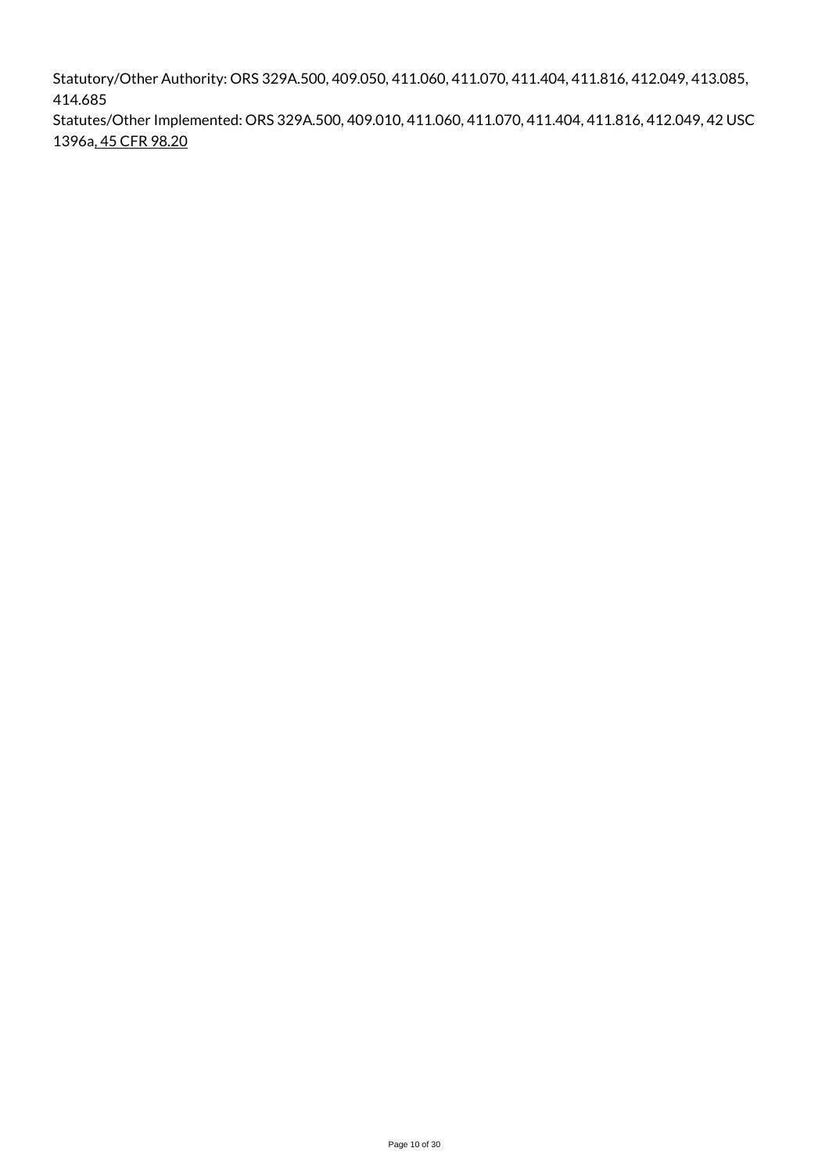Statutory/Other Authority: ORS 329A.500, 409.050, 411.060, 411.070, 411.404, 411.816, 412.049, 413.085, 414.685

Statutes/Other Implemented: ORS 329A.500, 409.010, 411.060, 411.070, 411.404, 411.816, 412.049, 42 USC 1396a, 45 CFR 98.20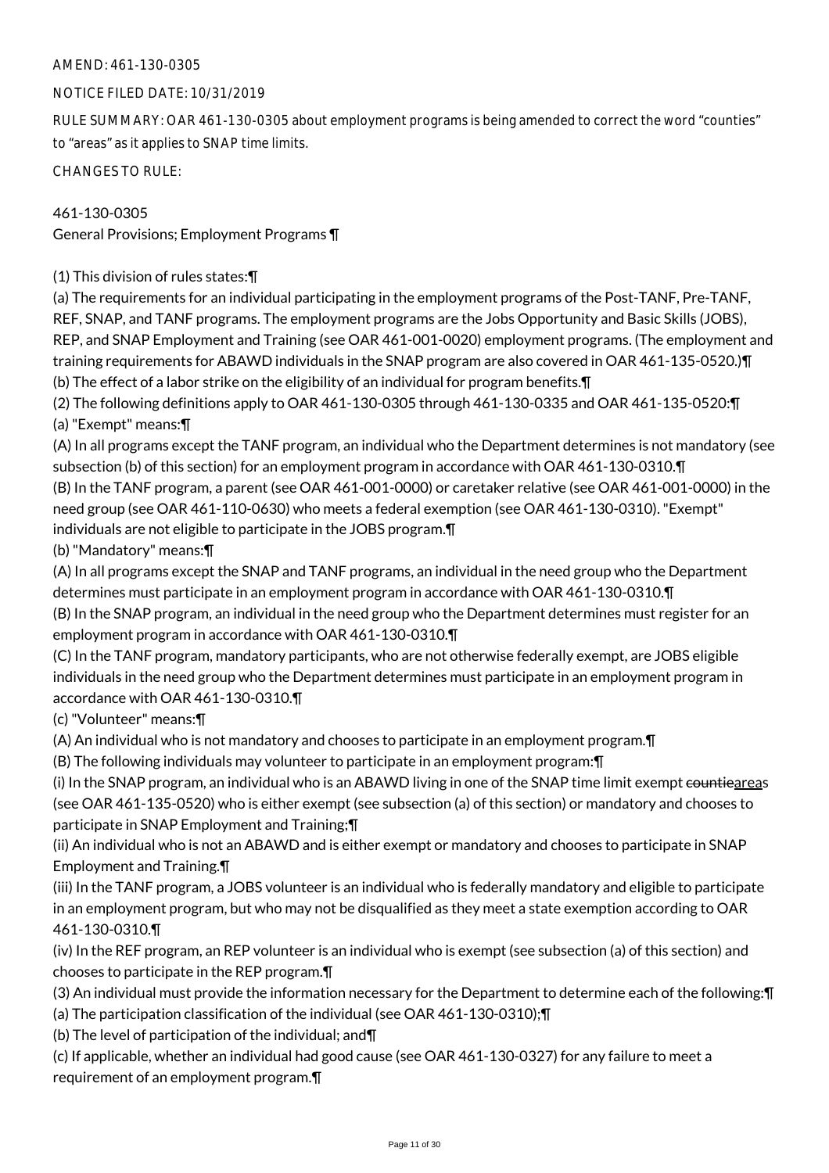# AMEND: 461-130-0305

# NOTICE FILED DATE: 10/31/2019

RULE SUMMARY: OAR 461-130-0305 about employment programs is being amended to correct the word "counties" to "areas" as it applies to SNAP time limits.

CHANGES TO RULE:

461-130-0305 General Provisions; Employment Programs ¶

(1) This division of rules states:¶

(a) The requirements for an individual participating in the employment programs of the Post-TANF, Pre-TANF, REF, SNAP, and TANF programs. The employment programs are the Jobs Opportunity and Basic Skills (JOBS), REP, and SNAP Employment and Training (see OAR 461-001-0020) employment programs. (The employment and training requirements for ABAWD individuals in the SNAP program are also covered in OAR 461-135-0520.)¶ (b) The effect of a labor strike on the eligibility of an individual for program benefits.¶

(2) The following definitions apply to OAR 461-130-0305 through 461-130-0335 and OAR 461-135-0520:¶ (a) "Exempt" means:¶

(A) In all programs except the TANF program, an individual who the Department determines is not mandatory (see subsection (b) of this section) for an employment program in accordance with OAR 461-130-0310.¶ (B) In the TANF program, a parent (see OAR 461-001-0000) or caretaker relative (see OAR 461-001-0000) in the need group (see OAR 461-110-0630) who meets a federal exemption (see OAR 461-130-0310). "Exempt" individuals are not eligible to participate in the JOBS program.¶

(b) "Mandatory" means:¶

(A) In all programs except the SNAP and TANF programs, an individual in the need group who the Department determines must participate in an employment program in accordance with OAR 461-130-0310.¶ (B) In the SNAP program, an individual in the need group who the Department determines must register for an

employment program in accordance with OAR 461-130-0310.¶

(C) In the TANF program, mandatory participants, who are not otherwise federally exempt, are JOBS eligible individuals in the need group who the Department determines must participate in an employment program in accordance with OAR 461-130-0310.¶

(c) "Volunteer" means:¶

(A) An individual who is not mandatory and chooses to participate in an employment program.¶

(B) The following individuals may volunteer to participate in an employment program:¶

(i) In the SNAP program, an individual who is an ABAWD living in one of the SNAP time limit exempt countieareas (see OAR 461-135-0520) who is either exempt (see subsection (a) of this section) or mandatory and chooses to participate in SNAP Employment and Training;¶

(ii) An individual who is not an ABAWD and is either exempt or mandatory and chooses to participate in SNAP Employment and Training.¶

(iii) In the TANF program, a JOBS volunteer is an individual who is federally mandatory and eligible to participate in an employment program, but who may not be disqualified as they meet a state exemption according to OAR 461-130-0310.¶

(iv) In the REF program, an REP volunteer is an individual who is exempt (see subsection (a) of this section) and chooses to participate in the REP program.¶

(3) An individual must provide the information necessary for the Department to determine each of the following:¶

(a) The participation classification of the individual (see OAR 461-130-0310);¶

(b) The level of participation of the individual; and¶

(c) If applicable, whether an individual had good cause (see OAR 461-130-0327) for any failure to meet a requirement of an employment program.¶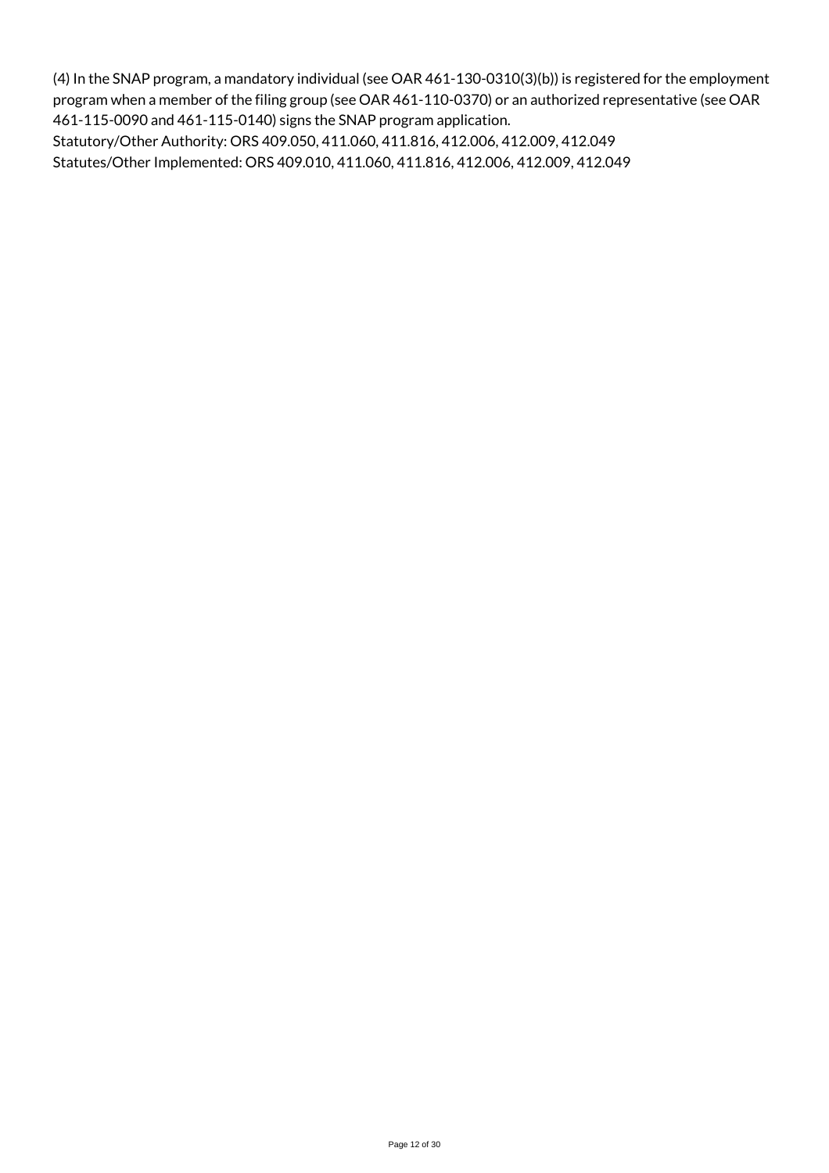(4) In the SNAP program, a mandatory individual (see OAR 461-130-0310(3)(b)) is registered for the employment program when a member of the filing group (see OAR 461-110-0370) or an authorized representative (see OAR 461-115-0090 and 461-115-0140) signs the SNAP program application.

Statutory/Other Authority: ORS 409.050, 411.060, 411.816, 412.006, 412.009, 412.049 Statutes/Other Implemented: ORS 409.010, 411.060, 411.816, 412.006, 412.009, 412.049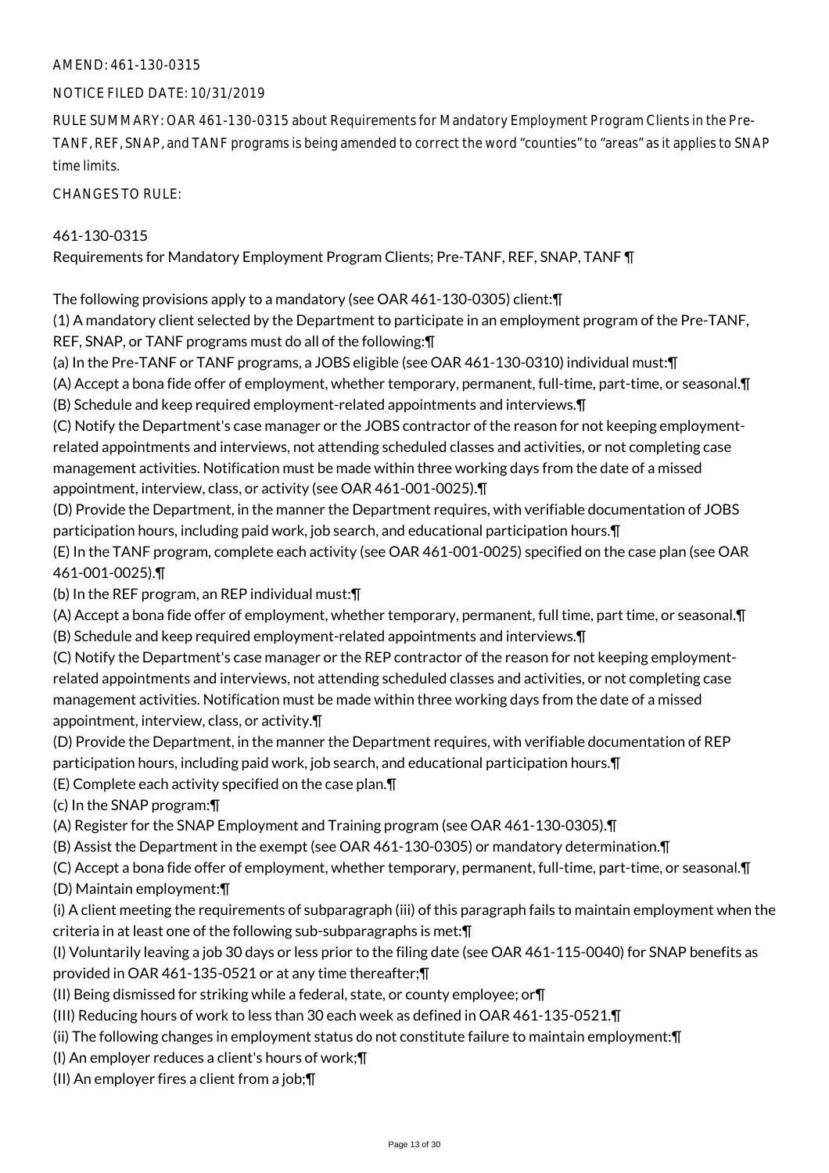# AMEND: 461-130-0315

### NOTICE FILED DATE: 10/31/2019

RULE SUMMARY: OAR 461-130-0315 about Requirements for Mandatory Employment Program Clients in the Pre-TANF, REF, SNAP, and TANF programs is being amended to correct the word "counties" to "areas" as it applies to SNAP time limits.

CHANGES TO RULE:

### 461-130-0315

Requirements for Mandatory Employment Program Clients; Pre-TANF, REF, SNAP, TANF ¶

The following provisions apply to a mandatory (see OAR 461-130-0305) client:¶

(1) A mandatory client selected by the Department to participate in an employment program of the Pre-TANF, REF, SNAP, or TANF programs must do all of the following:¶

(a) In the Pre-TANF or TANF programs, a JOBS eligible (see OAR 461-130-0310) individual must:¶

(A) Accept a bona fide offer of employment, whether temporary, permanent, full-time, part-time, or seasonal.¶ (B) Schedule and keep required employment-related appointments and interviews.¶

(C) Notify the Department's case manager or the JOBS contractor of the reason for not keeping employmentrelated appointments and interviews, not attending scheduled classes and activities, or not completing case management activities. Notification must be made within three working days from the date of a missed appointment, interview, class, or activity (see OAR 461-001-0025).¶

(D) Provide the Department, in the manner the Department requires, with verifiable documentation of JOBS participation hours, including paid work, job search, and educational participation hours.¶

(E) In the TANF program, complete each activity (see OAR 461-001-0025) specified on the case plan (see OAR 461-001-0025).¶

(b) In the REF program, an REP individual must:¶

(A) Accept a bona fide offer of employment, whether temporary, permanent, full time, part time, or seasonal.¶ (B) Schedule and keep required employment-related appointments and interviews.¶

(C) Notify the Department's case manager or the REP contractor of the reason for not keeping employmentrelated appointments and interviews, not attending scheduled classes and activities, or not completing case management activities. Notification must be made within three working days from the date of a missed appointment, interview, class, or activity.¶

(D) Provide the Department, in the manner the Department requires, with verifiable documentation of REP participation hours, including paid work, job search, and educational participation hours.¶

(E) Complete each activity specified on the case plan.¶

(c) In the SNAP program:¶

(A) Register for the SNAP Employment and Training program (see OAR 461-130-0305).¶

(B) Assist the Department in the exempt (see OAR 461-130-0305) or mandatory determination.¶

(C) Accept a bona fide offer of employment, whether temporary, permanent, full-time, part-time, or seasonal.¶

(D) Maintain employment:¶

(i) A client meeting the requirements of subparagraph (iii) of this paragraph fails to maintain employment when the criteria in at least one of the following sub-subparagraphs is met:¶

(I) Voluntarily leaving a job 30 days or less prior to the filing date (see OAR 461-115-0040) for SNAP benefits as provided in OAR 461-135-0521 or at any time thereafter;¶

(II) Being dismissed for striking while a federal, state, or county employee; or¶

(III) Reducing hours of work to less than 30 each week as defined in OAR 461-135-0521.¶

(ii) The following changes in employment status do not constitute failure to maintain employment:¶

(I) An employer reduces a client's hours of work;¶

(II) An employer fires a client from a job;¶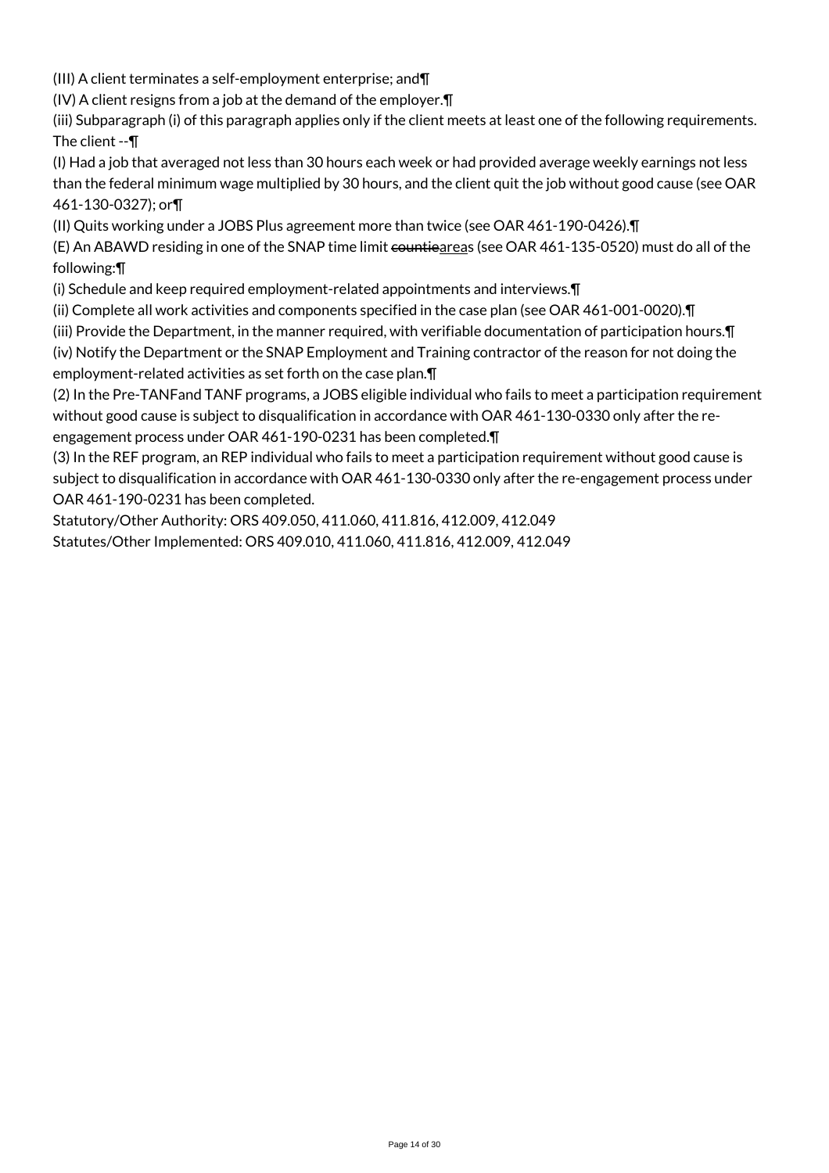(III) A client terminates a self-employment enterprise; and¶

(IV) A client resigns from a job at the demand of the employer.¶

(iii) Subparagraph (i) of this paragraph applies only if the client meets at least one of the following requirements. The client --¶

(I) Had a job that averaged not less than 30 hours each week or had provided average weekly earnings not less than the federal minimum wage multiplied by 30 hours, and the client quit the job without good cause (see OAR 461-130-0327); or¶

(II) Quits working under a JOBS Plus agreement more than twice (see OAR 461-190-0426).¶

(E) An ABAWD residing in one of the SNAP time limit countieareas (see OAR 461-135-0520) must do all of the following:¶

(i) Schedule and keep required employment-related appointments and interviews.¶

(ii) Complete all work activities and components specified in the case plan (see OAR 461-001-0020).¶

(iii) Provide the Department, in the manner required, with verifiable documentation of participation hours.¶

(iv) Notify the Department or the SNAP Employment and Training contractor of the reason for not doing the employment-related activities as set forth on the case plan.¶

(2) In the Pre-TANFand TANF programs, a JOBS eligible individual who fails to meet a participation requirement without good cause is subject to disqualification in accordance with OAR 461-130-0330 only after the reengagement process under OAR 461-190-0231 has been completed.¶

(3) In the REF program, an REP individual who fails to meet a participation requirement without good cause is subject to disqualification in accordance with OAR 461-130-0330 only after the re-engagement process under OAR 461-190-0231 has been completed.

Statutory/Other Authority: ORS 409.050, 411.060, 411.816, 412.009, 412.049 Statutes/Other Implemented: ORS 409.010, 411.060, 411.816, 412.009, 412.049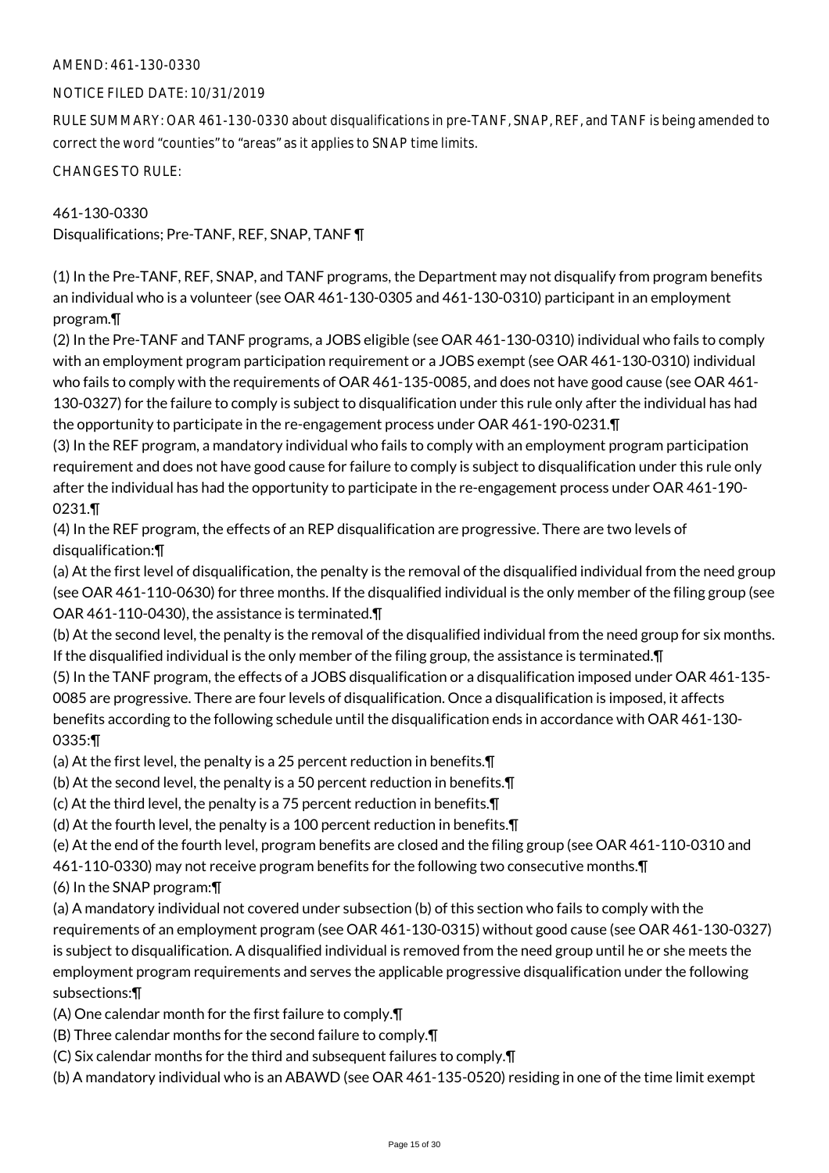# AMEND: 461-130-0330

### NOTICE FILED DATE: 10/31/2019

RULE SUMMARY: OAR 461-130-0330 about disqualifications in pre-TANF, SNAP, REF, and TANF is being amended to correct the word "counties" to "areas" as it applies to SNAP time limits.

CHANGES TO RULE:

461-130-0330 Disqualifications; Pre-TANF, REF, SNAP, TANF ¶

(1) In the Pre-TANF, REF, SNAP, and TANF programs, the Department may not disqualify from program benefits an individual who is a volunteer (see OAR 461-130-0305 and 461-130-0310) participant in an employment program.¶

(2) In the Pre-TANF and TANF programs, a JOBS eligible (see OAR 461-130-0310) individual who fails to comply with an employment program participation requirement or a JOBS exempt (see OAR 461-130-0310) individual who fails to comply with the requirements of OAR 461-135-0085, and does not have good cause (see OAR 461- 130-0327) for the failure to comply is subject to disqualification under this rule only after the individual has had the opportunity to participate in the re-engagement process under OAR 461-190-0231.¶

(3) In the REF program, a mandatory individual who fails to comply with an employment program participation requirement and does not have good cause for failure to comply is subject to disqualification under this rule only after the individual has had the opportunity to participate in the re-engagement process under OAR 461-190- 0231.¶

(4) In the REF program, the effects of an REP disqualification are progressive. There are two levels of disqualification:¶

(a) At the first level of disqualification, the penalty is the removal of the disqualified individual from the need group (see OAR 461-110-0630) for three months. If the disqualified individual is the only member of the filing group (see OAR 461-110-0430), the assistance is terminated.¶

(b) At the second level, the penalty is the removal of the disqualified individual from the need group for six months. If the disqualified individual is the only member of the filing group, the assistance is terminated.¶

(5) In the TANF program, the effects of a JOBS disqualification or a disqualification imposed under OAR 461-135- 0085 are progressive. There are four levels of disqualification. Once a disqualification is imposed, it affects benefits according to the following schedule until the disqualification ends in accordance with OAR 461-130- 0335:¶

(a) At the first level, the penalty is a 25 percent reduction in benefits.¶

(b) At the second level, the penalty is a 50 percent reduction in benefits.¶

(c) At the third level, the penalty is a 75 percent reduction in benefits.¶

(d) At the fourth level, the penalty is a 100 percent reduction in benefits.¶

(e) At the end of the fourth level, program benefits are closed and the filing group (see OAR 461-110-0310 and

461-110-0330) may not receive program benefits for the following two consecutive months.¶

(6) In the SNAP program:¶

(a) A mandatory individual not covered under subsection (b) of this section who fails to comply with the requirements of an employment program (see OAR 461-130-0315) without good cause (see OAR 461-130-0327) is subject to disqualification. A disqualified individual is removed from the need group until he or she meets the employment program requirements and serves the applicable progressive disqualification under the following subsections:¶

(A) One calendar month for the first failure to comply.¶

(B) Three calendar months for the second failure to comply.¶

(C) Six calendar months for the third and subsequent failures to comply.¶

(b) A mandatory individual who is an ABAWD (see OAR 461-135-0520) residing in one of the time limit exempt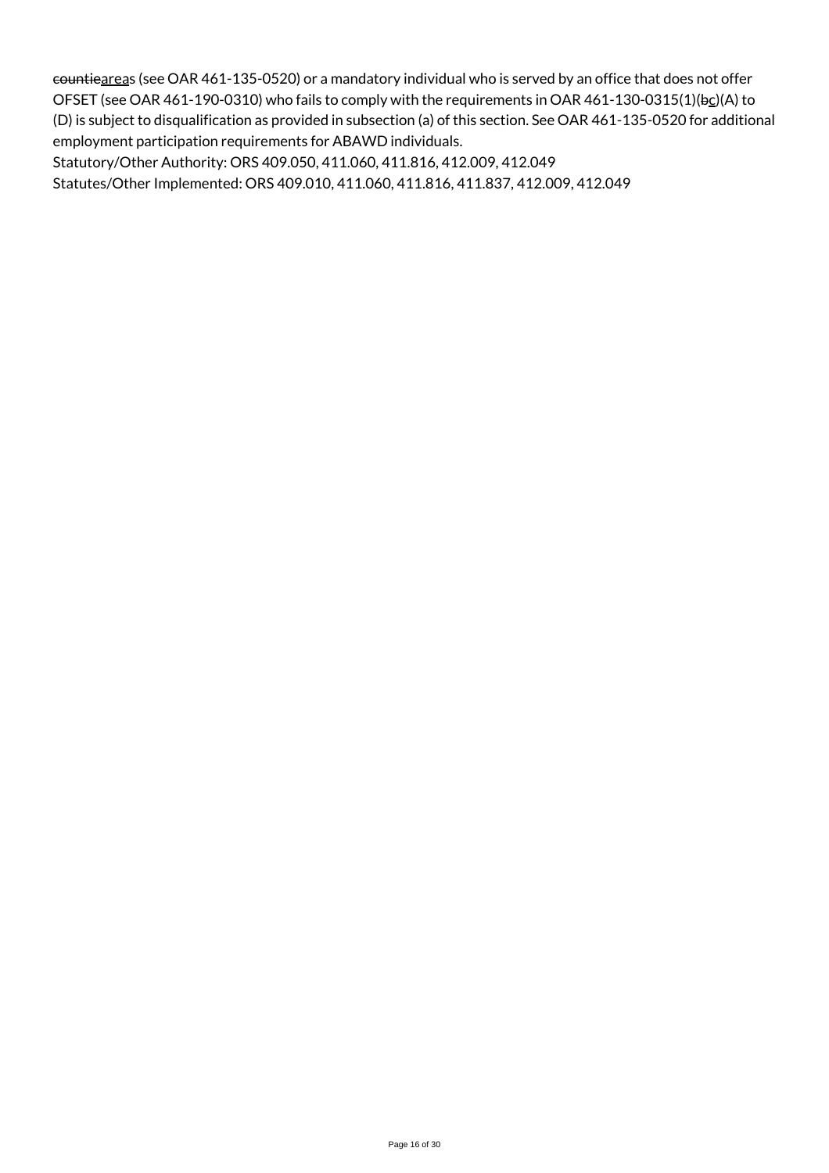countieareas (see OAR 461-135-0520) or a mandatory individual who is served by an office that does not offer OFSET (see OAR 461-190-0310) who fails to comply with the requirements in OAR 461-130-0315(1)(bc)(A) to (D) is subject to disqualification as provided in subsection (a) of this section. See OAR 461-135-0520 for additional employment participation requirements for ABAWD individuals.

Statutory/Other Authority: ORS 409.050, 411.060, 411.816, 412.009, 412.049

Statutes/Other Implemented: ORS 409.010, 411.060, 411.816, 411.837, 412.009, 412.049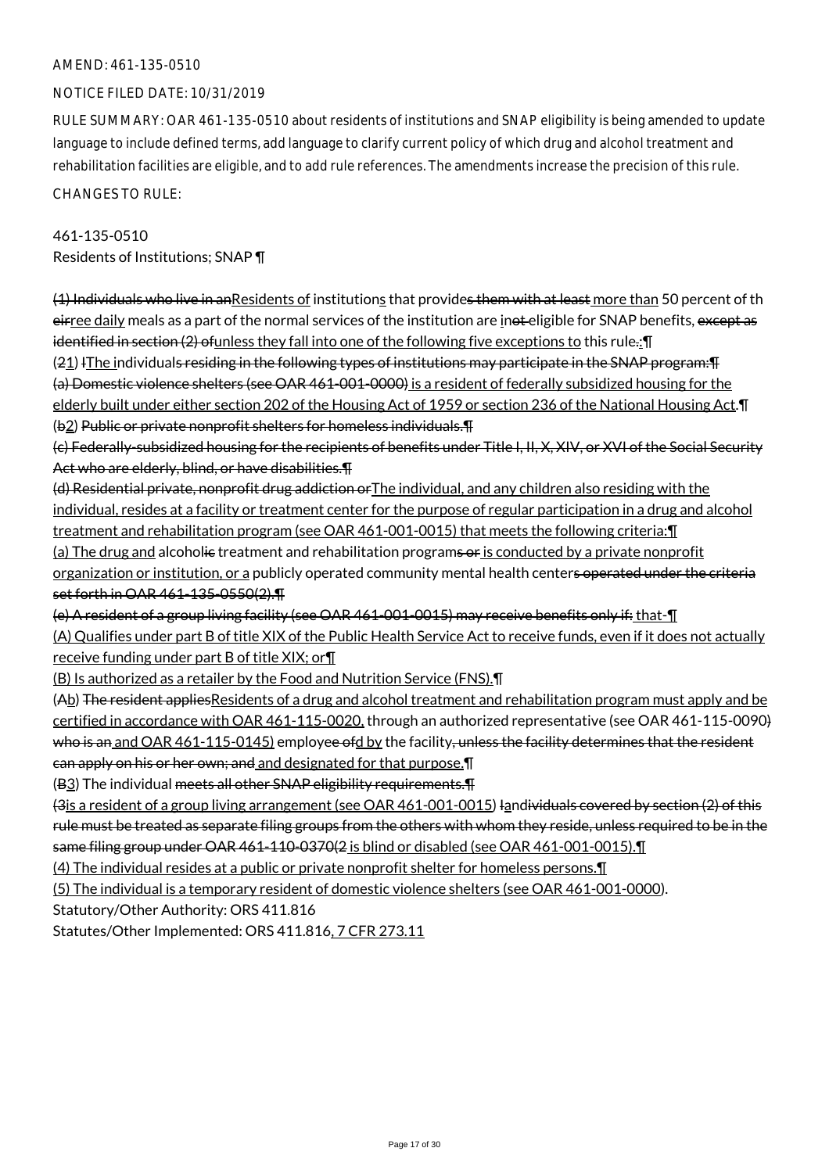### AMEND: 461-135-0510

# NOTICE FILED DATE: 10/31/2019

RULE SUMMARY: OAR 461-135-0510 about residents of institutions and SNAP eligibility is being amended to update language to include defined terms, add language to clarify current policy of which drug and alcohol treatment and rehabilitation facilities are eligible, and to add rule references. The amendments increase the precision of this rule. CHANGES TO RULE:

461-135-0510 Residents of Institutions; SNAP ¶

(1) Individuals who live in anResidents of institutions that provides them with at least more than 50 percent of th eirree daily meals as a part of the normal services of the institution are inot eligible for SNAP benefits, except as identified in section (2) of unless they fall into one of the following five exceptions to this rule.: I

(21) IThe individuals residing in the following types of institutions may participate in the SNAP program:¶ (a) Domestic violence shelters (see OAR 461-001-0000) is a resident of federally subsidized housing for the elderly built under either section 202 of the Housing Act of 1959 or section 236 of the National Housing Act.¶

(b2) Public or private nonprofit shelters for homeless individuals.¶

(c) Federally-subsidized housing for the recipients of benefits under Title I, II, X, XIV, or XVI of the Social Security Act who are elderly, blind, or have disabilities.¶

(d) Residential private, nonprofit drug addiction orThe individual, and any children also residing with the individual, resides at a facility or treatment center for the purpose of regular participation in a drug and alcohol treatment and rehabilitation program (see OAR 461-001-0015) that meets the following criteria:¶

(a) The drug and alcoholie treatment and rehabilitation programs or is conducted by a private nonprofit organization or institution, or a publicly operated community mental health centers operated under the criteria set forth in OAR 461-135-0550(2).¶

(e) A resident of a group living facility (see OAR 461-001-0015) may receive benefits only if: that-¶

(A) Qualifies under part B of title XIX of the Public Health Service Act to receive funds, even if it does not actually receive funding under part B of title XIX; or¶

(B) Is authorized as a retailer by the Food and Nutrition Service (FNS).¶

 $(A_2)$  The resident applies Residents of a drug and alcohol treatment and rehabilitation program must apply and be certified in accordance with OAR 461-115-0020, through an authorized representative (see OAR 461-115-0090) who is an and OAR 461-115-0145) employee ofd by the facility, unless the facility determines that the resident can apply on his or her own; and and designated for that purpose.¶

(B<sub>3</sub>) The individual meets all other SNAP eligibility requirements. [1]

(3is a resident of a group living arrangement (see OAR 461-001-0015) Iandividuals covered by section (2) of this rule must be treated as separate filing groups from the others with whom they reside, unless required to be in the same filing group under OAR 461-110-0370(2 is blind or disabled (see OAR 461-001-0015).¶

(4) The individual resides at a public or private nonprofit shelter for homeless persons.¶

(5) The individual is a temporary resident of domestic violence shelters (see OAR 461-001-0000).

Statutory/Other Authority: ORS 411.816

Statutes/Other Implemented: ORS 411.816, 7 CFR 273.11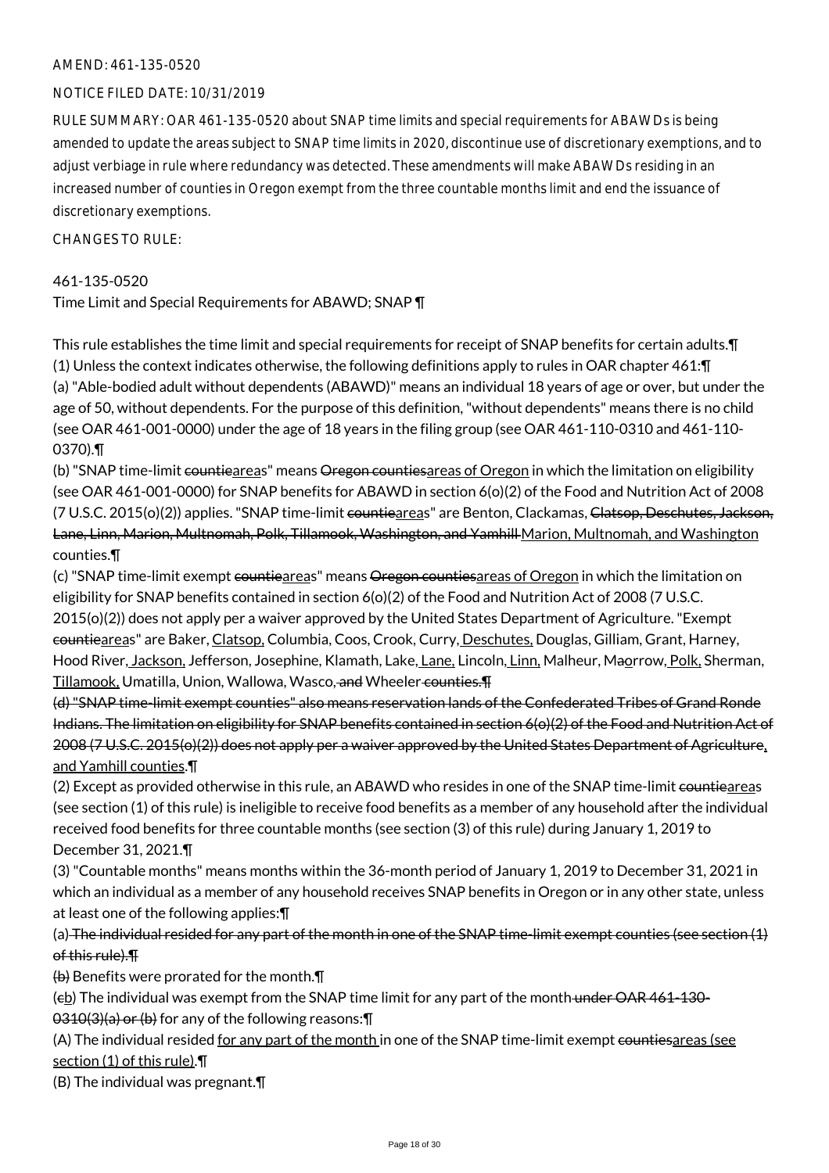#### AMEND: 461-135-0520

# NOTICE FILED DATE: 10/31/2019

RULE SUMMARY: OAR 461-135-0520 about SNAP time limits and special requirements for ABAWDs is being amended to update the areas subject to SNAP time limits in 2020, discontinue use of discretionary exemptions, and to adjust verbiage in rule where redundancy was detected. These amendments will make ABAWDs residing in an increased number of counties in Oregon exempt from the three countable months limit and end the issuance of discretionary exemptions.

 $CHANGESTORUIF$ 

### 461-135-0520

Time Limit and Special Requirements for ABAWD; SNAP ¶

This rule establishes the time limit and special requirements for receipt of SNAP benefits for certain adults.¶ (1) Unless the context indicates otherwise, the following definitions apply to rules in OAR chapter 461:¶ (a) "Able-bodied adult without dependents (ABAWD)" means an individual 18 years of age or over, but under the age of 50, without dependents. For the purpose of this definition, "without dependents" means there is no child (see OAR 461-001-0000) under the age of 18 years in the filing group (see OAR 461-110-0310 and 461-110- 0370).¶

(b) "SNAP time-limit countieareas" means Oregon countiesareas of Oregon in which the limitation on eligibility (see OAR 461-001-0000) for SNAP benefits for ABAWD in section 6(o)(2) of the Food and Nutrition Act of 2008 (7 U.S.C. 2015(o)(2)) applies. "SNAP time-limit countieareas" are Benton, Clackamas, Clatsop, Deschutes, Jackson, Lane, Linn, Marion, Multnomah, Polk, Tillamook, Washington, and Yamhill Marion, Multnomah, and Washington counties.¶

(c) "SNAP time-limit exempt countieareas" means Oregon countiesareas of Oregon in which the limitation on eligibility for SNAP benefits contained in section 6(o)(2) of the Food and Nutrition Act of 2008 (7 U.S.C. 2015(o)(2)) does not apply per a waiver approved by the United States Department of Agriculture. "Exempt countieareas" are Baker, Clatsop, Columbia, Coos, Crook, Curry, Deschutes, Douglas, Gilliam, Grant, Harney, Hood River, Jackson, Jefferson, Josephine, Klamath, Lake, Lane, Lincoln, Linn, Malheur, Maorrow, Polk, Sherman, Tillamook, Umatilla, Union, Wallowa, Wasco, and Wheeler counties.¶

(d) "SNAP time-limit exempt counties" also means reservation lands of the Confederated Tribes of Grand Ronde Indians. The limitation on eligibility for SNAP benefits contained in section 6(o)(2) of the Food and Nutrition Act of 2008 (7 U.S.C. 2015(o)(2)) does not apply per a waiver approved by the United States Department of Agriculture, and Yamhill counties.¶

(2) Except as provided otherwise in this rule, an ABAWD who resides in one of the SNAP time-limit countieareas (see section (1) of this rule) is ineligible to receive food benefits as a member of any household after the individual received food benefits for three countable months (see section (3) of this rule) during January 1, 2019 to December 31, 2021.¶

(3) "Countable months" means months within the 36-month period of January 1, 2019 to December 31, 2021 in which an individual as a member of any household receives SNAP benefits in Oregon or in any other state, unless at least one of the following applies:¶

(a) The individual resided for any part of the month in one of the SNAP time-limit exempt counties (see section (1) of this rule).¶

(b) Benefits were prorated for the month.¶

 $(e<sub>b</sub>)$  The individual was exempt from the SNAP time limit for any part of the month under OAR 461-130-0310(3)(a) or (b) for any of the following reasons:¶

(A) The individual resided for any part of the month in one of the SNAP time-limit exempt countiesareas (see section (1) of this rule).¶

(B) The individual was pregnant.¶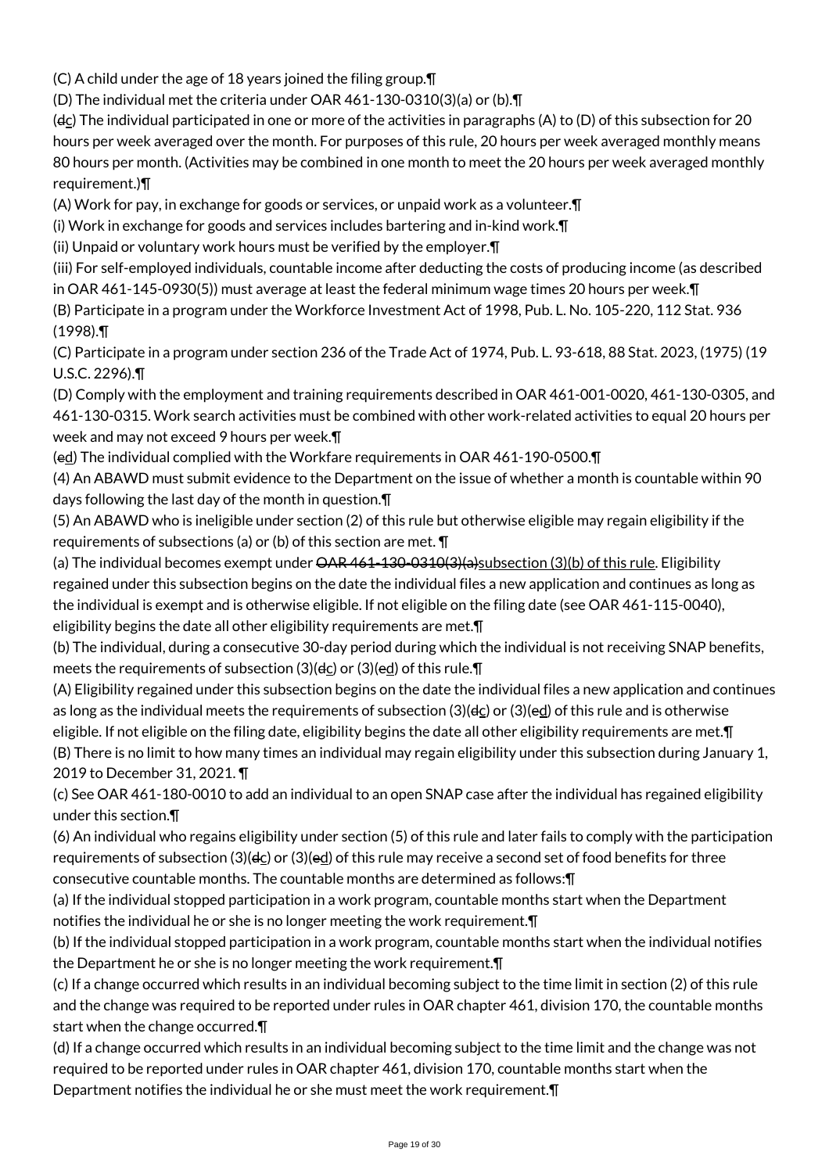(C) A child under the age of 18 years joined the filing group.¶

(D) The individual met the criteria under OAR 461-130-0310(3)(a) or (b).¶

( $d_{\rm C}$ ) The individual participated in one or more of the activities in paragraphs (A) to (D) of this subsection for 20 hours per week averaged over the month. For purposes of this rule, 20 hours per week averaged monthly means 80 hours per month. (Activities may be combined in one month to meet the 20 hours per week averaged monthly requirement.)¶

(A) Work for pay, in exchange for goods or services, or unpaid work as a volunteer.¶

(i) Work in exchange for goods and services includes bartering and in-kind work.¶

(ii) Unpaid or voluntary work hours must be verified by the employer.¶

(iii) For self-employed individuals, countable income after deducting the costs of producing income (as described in OAR 461-145-0930(5)) must average at least the federal minimum wage times 20 hours per week.¶

(B) Participate in a program under the Workforce Investment Act of 1998, Pub. L. No. 105-220, 112 Stat. 936 (1998).¶

(C) Participate in a program under section 236 of the Trade Act of 1974, Pub. L. 93-618, 88 Stat. 2023, (1975) (19 U.S.C. 2296).¶

(D) Comply with the employment and training requirements described in OAR 461-001-0020, 461-130-0305, and 461-130-0315. Work search activities must be combined with other work-related activities to equal 20 hours per week and may not exceed 9 hours per week.¶

(ed) The individual complied with the Workfare requirements in OAR 461-190-0500.¶

(4) An ABAWD must submit evidence to the Department on the issue of whether a month is countable within 90 days following the last day of the month in question.¶

(5) An ABAWD who is ineligible under section (2) of this rule but otherwise eligible may regain eligibility if the requirements of subsections (a) or (b) of this section are met. ¶

(a) The individual becomes exempt under  $\frac{\text{OAR }461-130-0310(3)}{\text{O(3)}}$  subsection (3)(b) of this rule. Eligibility regained under this subsection begins on the date the individual files a new application and continues as long as the individual is exempt and is otherwise eligible. If not eligible on the filing date (see OAR 461-115-0040), eligibility begins the date all other eligibility requirements are met.¶

(b) The individual, during a consecutive 30-day period during which the individual is not receiving SNAP benefits, meets the requirements of subsection (3)( $d<sub>C</sub>$ ) or (3)( $e<sub>C</sub>$ d) of this rule. $\P$ 

(A) Eligibility regained under this subsection begins on the date the individual files a new application and continues as long as the individual meets the requirements of subsection (3)(dc) or (3)(ed) of this rule and is otherwise eligible. If not eligible on the filing date, eligibility begins the date all other eligibility requirements are met.¶ (B) There is no limit to how many times an individual may regain eligibility under this subsection during January 1, 2019 to December 31, 2021. ¶

(c) See OAR 461-180-0010 to add an individual to an open SNAP case after the individual has regained eligibility under this section.¶

(6) An individual who regains eligibility under section (5) of this rule and later fails to comply with the participation requirements of subsection (3)(dc) or (3)(ed) of this rule may receive a second set of food benefits for three consecutive countable months. The countable months are determined as follows:¶

(a) If the individual stopped participation in a work program, countable months start when the Department notifies the individual he or she is no longer meeting the work requirement.¶

(b) If the individual stopped participation in a work program, countable months start when the individual notifies the Department he or she is no longer meeting the work requirement.¶

(c) If a change occurred which results in an individual becoming subject to the time limit in section (2) of this rule and the change was required to be reported under rules in OAR chapter 461, division 170, the countable months start when the change occurred.¶

(d) If a change occurred which results in an individual becoming subject to the time limit and the change was not required to be reported under rules in OAR chapter 461, division 170, countable months start when the Department notifies the individual he or she must meet the work requirement.¶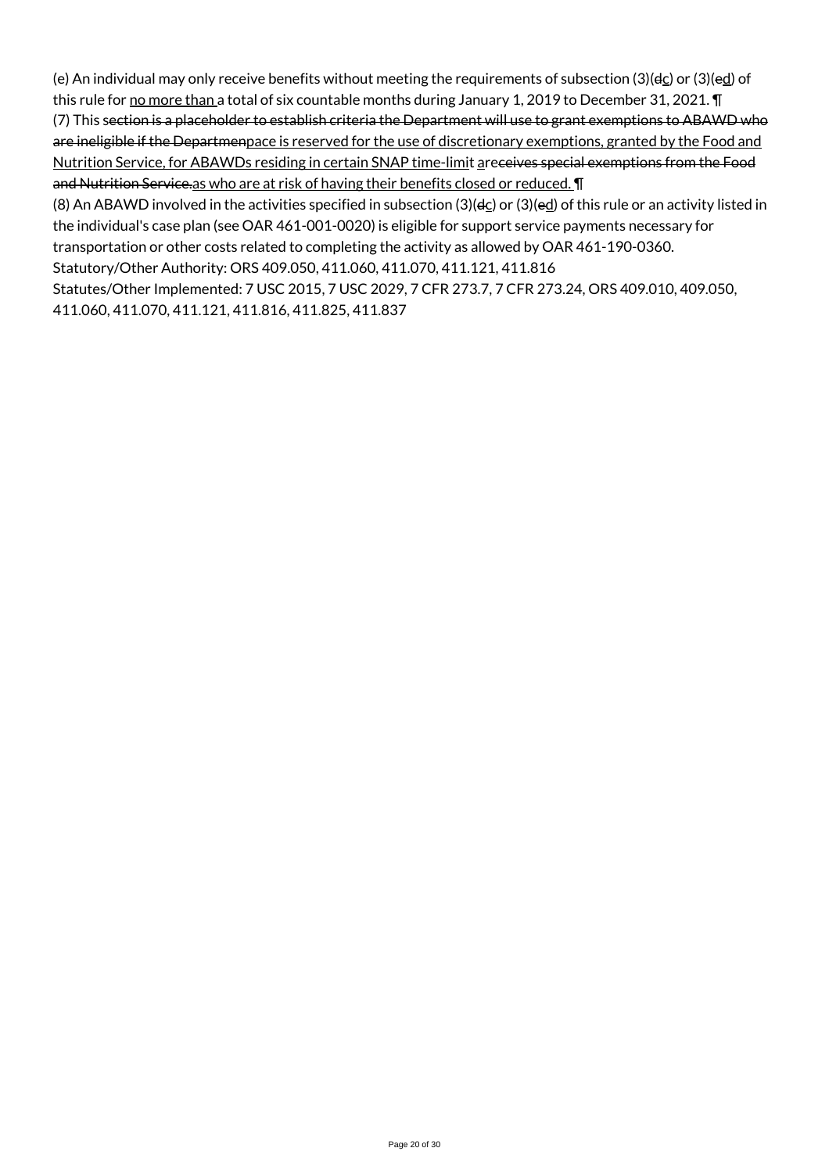(e) An individual may only receive benefits without meeting the requirements of subsection (3)( $d_{C}$ ) or (3)( $e_{C}$ ) of this rule for no more than a total of six countable months during January 1, 2019 to December 31, 2021. In

(7) This section is a placeholder to establish criteria the Department will use to grant exemptions to ABAWD who are ineligible if the Departmenpace is reserved for the use of discretionary exemptions, granted by the Food and Nutrition Service, for ABAWDs residing in certain SNAP time-limit areceives special exemptions from the Food and Nutrition Service.as who are at risk of having their benefits closed or reduced. **I** 

(8) An ABAWD involved in the activities specified in subsection (3)(dc) or (3)(ed) of this rule or an activity listed in the individual's case plan (see OAR 461-001-0020) is eligible for support service payments necessary for transportation or other costs related to completing the activity as allowed by OAR 461-190-0360.

Statutory/Other Authority: ORS 409.050, 411.060, 411.070, 411.121, 411.816

Statutes/Other Implemented: 7 USC 2015, 7 USC 2029, 7 CFR 273.7, 7 CFR 273.24, ORS 409.010, 409.050, 411.060, 411.070, 411.121, 411.816, 411.825, 411.837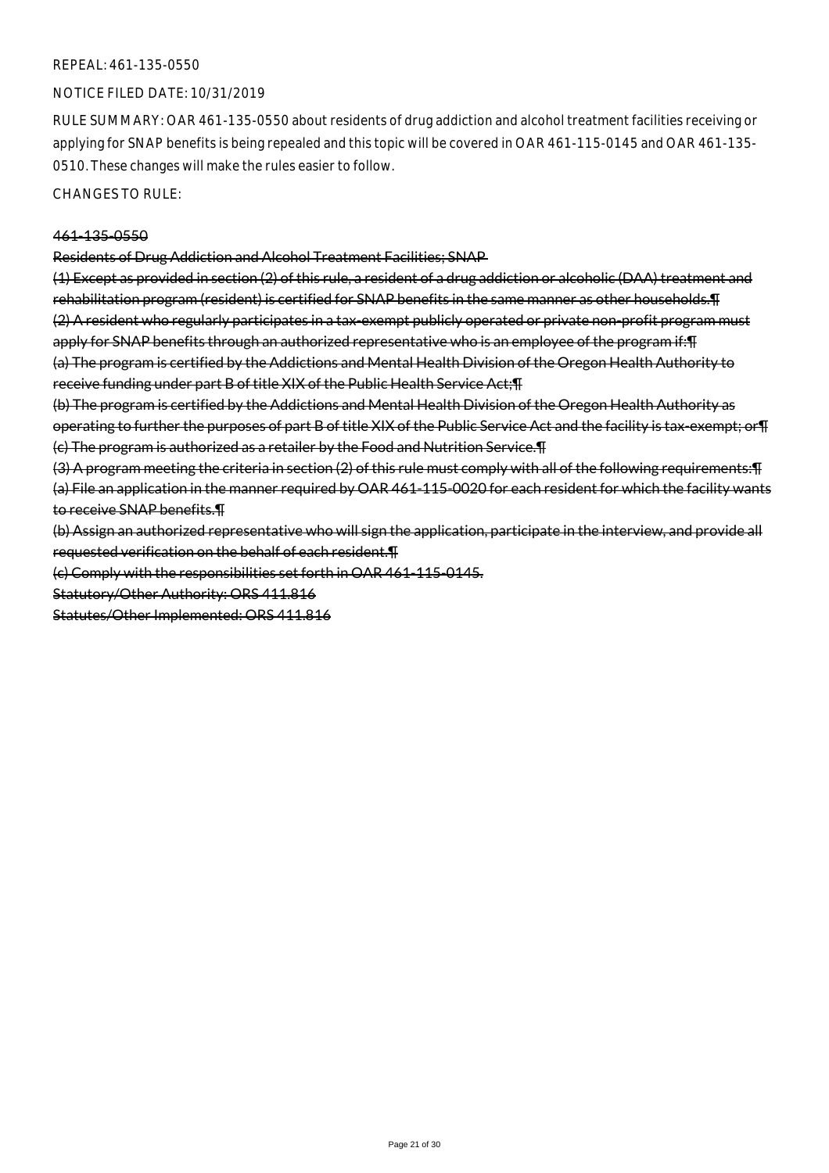#### REPEAL: 461-135-0550

#### NOTICE FILED DATE: 10/31/2019

RULE SUMMARY: OAR 461-135-0550 about residents of drug addiction and alcohol treatment facilities receiving or applying for SNAP benefits is being repealed and this topic will be covered in OAR 461-115-0145 and OAR 461-135- 0510. These changes will make the rules easier to follow.

CHANGES TO RULE:

#### 461-135-0550

Residents of Drug Addiction and Alcohol Treatment Facilities; SNAP

(1) Except as provided in section (2) of this rule, a resident of a drug addiction or alcoholic (DAA) treatment and rehabilitation program (resident) is certified for SNAP benefits in the same manner as other households.¶ (2) A resident who regularly participates in a tax-exempt publicly operated or private non-profit program must apply for SNAP benefits through an authorized representative who is an employee of the program if: [1] (a) The program is certified by the Addictions and Mental Health Division of the Oregon Health Authority to receive funding under part B of title XIX of the Public Health Service Act;¶

(b) The program is certified by the Addictions and Mental Health Division of the Oregon Health Authority as operating to further the purposes of part B of title XIX of the Public Service Act and the facility is tax-exempt; or¶ (c) The program is authorized as a retailer by the Food and Nutrition Service.¶

(3) A program meeting the criteria in section (2) of this rule must comply with all of the following requirements:¶ (a) File an application in the manner required by OAR 461-115-0020 for each resident for which the facility wants to receive SNAP benefits.¶

(b) Assign an authorized representative who will sign the application, participate in the interview, and provide all requested verification on the behalf of each resident.¶

(c) Comply with the responsibilities set forth in OAR 461-115-0145.

Statutory/Other Authority: ORS 411.816

Statutes/Other Implemented: ORS 411.816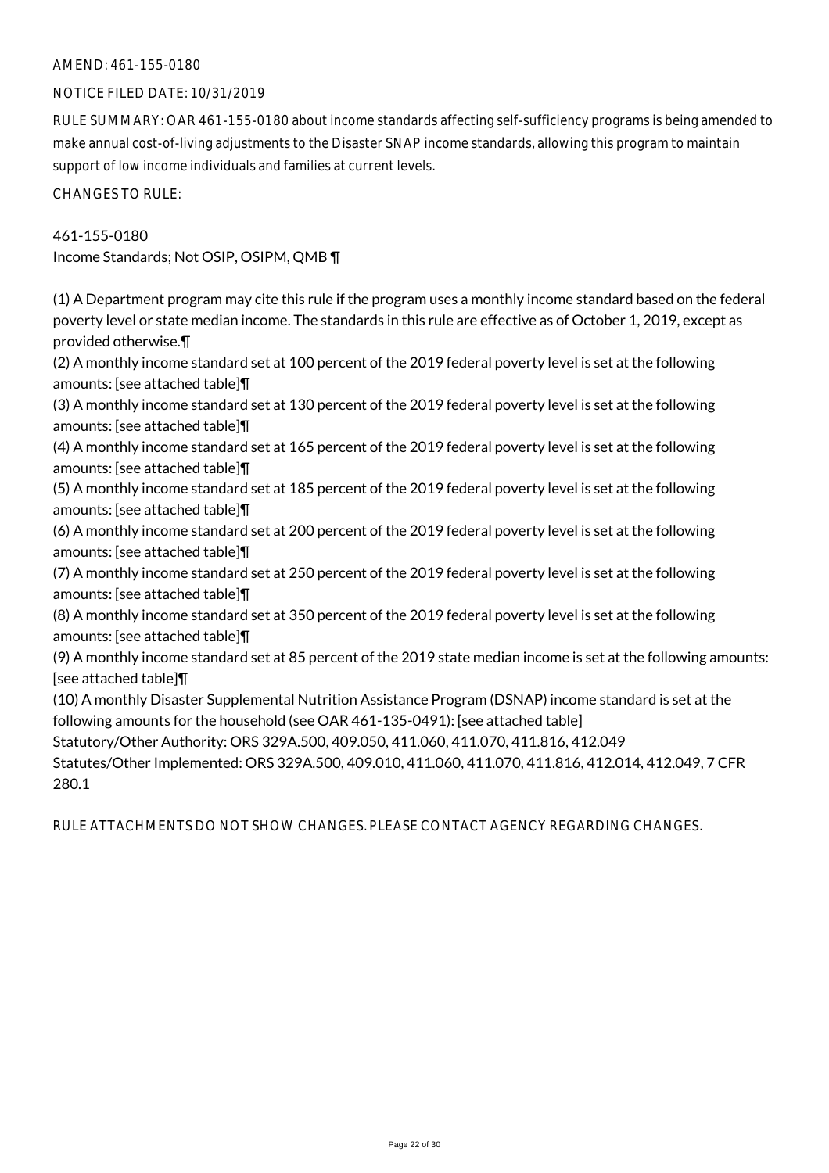# AMEND: 461-155-0180

### NOTICE FILED DATE: 10/31/2019

RULE SUMMARY: OAR 461-155-0180 about income standards affecting self-sufficiency programs is being amended to make annual cost-of-living adjustments to the Disaster SNAP income standards, allowing this program to maintain support of low income individuals and families at current levels.

CHANGES TO RULE:

461-155-0180 Income Standards; Not OSIP, OSIPM, QMB ¶

(1) A Department program may cite this rule if the program uses a monthly income standard based on the federal poverty level or state median income. The standards in this rule are effective as of October 1, 2019, except as provided otherwise.¶

(2) A monthly income standard set at 100 percent of the 2019 federal poverty level is set at the following amounts: [see attached table]¶

(3) A monthly income standard set at 130 percent of the 2019 federal poverty level is set at the following amounts: [see attached table]¶

(4) A monthly income standard set at 165 percent of the 2019 federal poverty level is set at the following amounts: [see attached table]¶

(5) A monthly income standard set at 185 percent of the 2019 federal poverty level is set at the following amounts: [see attached table]¶

(6) A monthly income standard set at 200 percent of the 2019 federal poverty level is set at the following amounts: [see attached table]¶

(7) A monthly income standard set at 250 percent of the 2019 federal poverty level is set at the following amounts: [see attached table]¶

(8) A monthly income standard set at 350 percent of the 2019 federal poverty level is set at the following amounts: [see attached table]¶

(9) A monthly income standard set at 85 percent of the 2019 state median income is set at the following amounts: [see attached table]¶

(10) A monthly Disaster Supplemental Nutrition Assistance Program (DSNAP) income standard is set at the following amounts for the household (see OAR 461-135-0491): [see attached table]

Statutory/Other Authority: ORS 329A.500, 409.050, 411.060, 411.070, 411.816, 412.049

Statutes/Other Implemented: ORS 329A.500, 409.010, 411.060, 411.070, 411.816, 412.014, 412.049, 7 CFR 280.1

RULE ATTACHMENTS DO NOT SHOW CHANGES. PLEASE CONTACT AGENCY REGARDING CHANGES.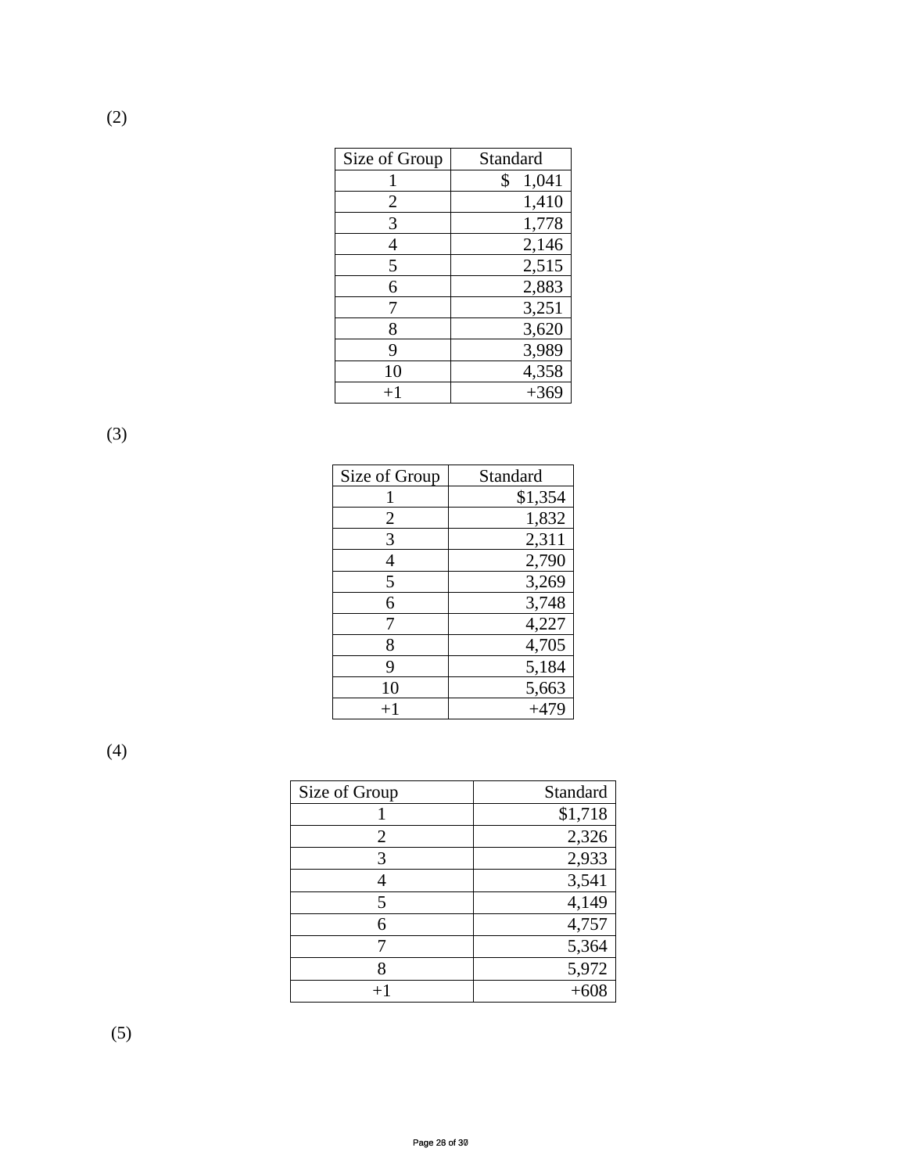| Size of Group | Standard    |
|---------------|-------------|
|               | 1,041<br>\$ |
| 2             | 1,410       |
| 3             | 1,778       |
|               | 2,146       |
| 5             | 2,515       |
| 6             | 2,883       |
|               | 3,251       |
| 8             | 3,620       |
| 9             | 3,989       |
| 10            | 4,358       |
| $+1$          | $+369$      |

(3)

(2)

| Size of Group | Standard |
|---------------|----------|
|               | \$1,354  |
| 2             | 1,832    |
| 3             | 2,311    |
| 4             | 2,790    |
| 5             | 3,269    |
| 6             | 3,748    |
|               | 4,227    |
| 8             | 4,705    |
| 9             | 5,184    |
| 10            | 5,663    |
| $^{+1}$       | $+479$   |

(4)

| Size of Group | Standard |
|---------------|----------|
|               | \$1,718  |
| 2             | 2,326    |
|               | 2,933    |
|               | 3,541    |
|               | 4,149    |
| 6             | 4,757    |
|               | 5,364    |
|               | 5,972    |
|               |          |

(5)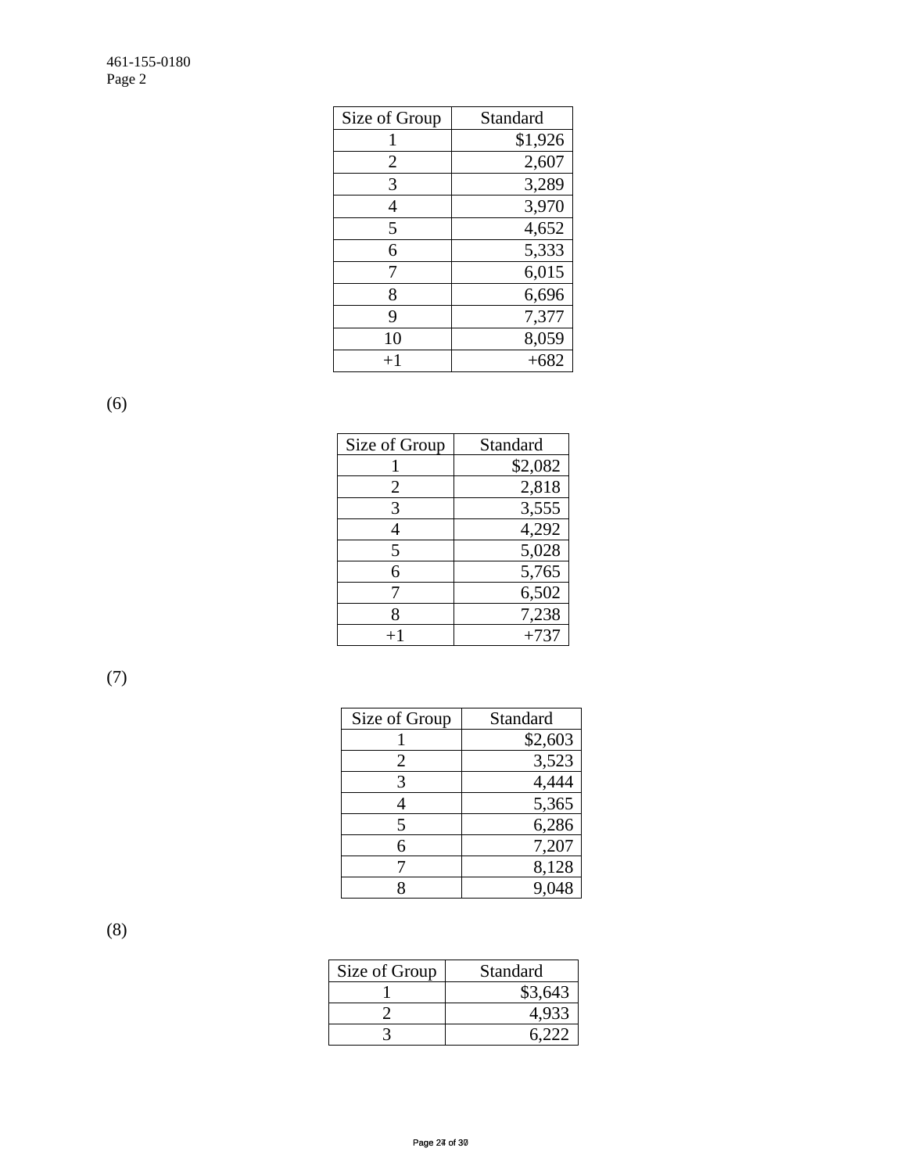| Size of Group  | Standard |
|----------------|----------|
|                | \$1,926  |
| $\overline{2}$ | 2,607    |
| 3              | 3,289    |
| 4              | 3,970    |
| 5              | 4,652    |
| 6              | 5,333    |
| 7              | 6,015    |
| 8              | 6,696    |
| 9              | 7,377    |
| 10             | 8,059    |
| $+1$           | $+682$   |

(6)

| Size of Group | Standard |
|---------------|----------|
|               | \$2,082  |
| 2             | 2,818    |
| 3             | 3,555    |
|               | 4,292    |
| 5             | 5,028    |
| 6             | 5,765    |
|               | 6,502    |
| x             | 7,238    |
|               | $+737$   |

(7)

| Size of Group | Standard |
|---------------|----------|
|               | \$2,603  |
| 2             | 3,523    |
| 3             | 4,444    |
| 4             | 5,365    |
| 5             | 6,286    |
| 6             | 7,207    |
|               | 8,128    |
|               |          |

(8)

| Size of Group | Standard |
|---------------|----------|
|               | \$3,643  |
|               |          |
|               |          |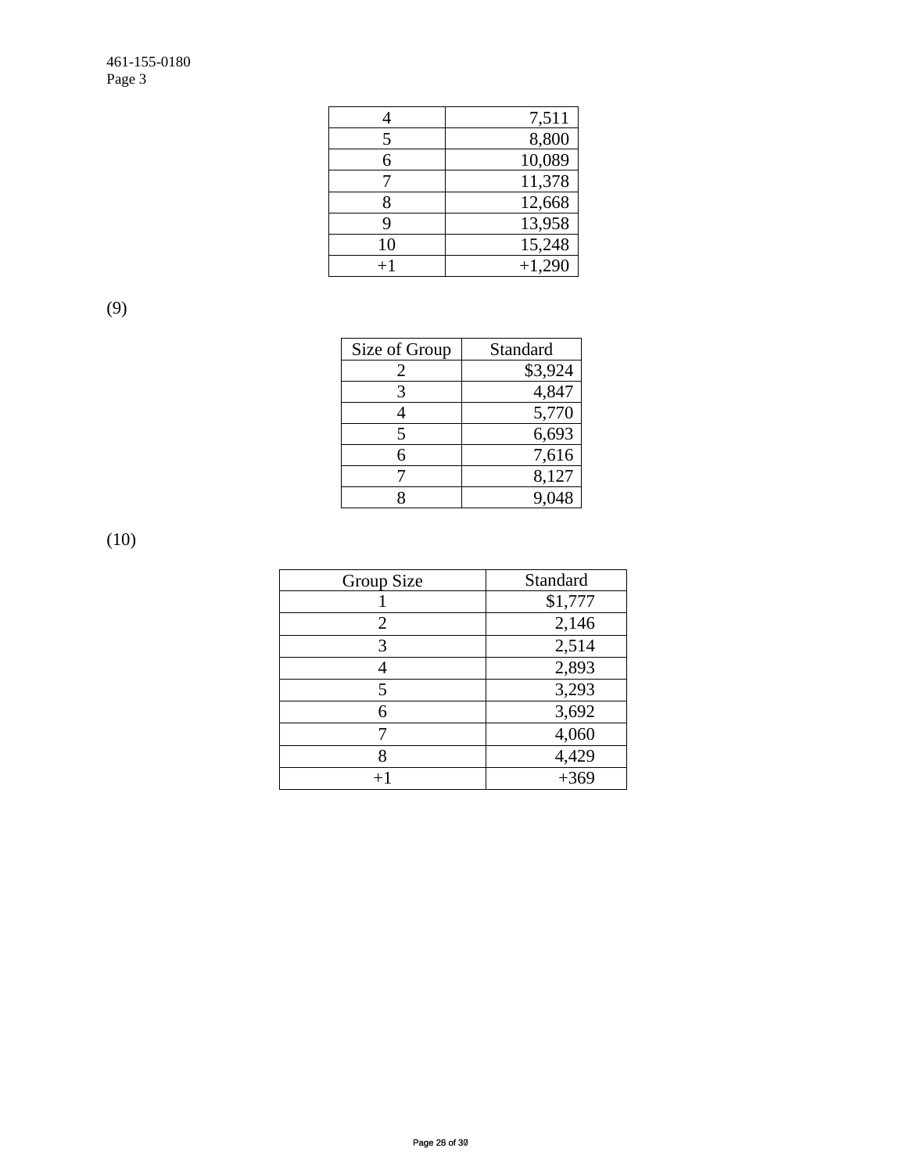|      | 7,511    |
|------|----------|
| 5    | 8,800    |
| 6    | 10,089   |
|      | 11,378   |
| 8    | 12,668   |
| 9    | 13,958   |
| 10   | 15,248   |
| $+1$ | $+1,290$ |

(9)

| Size of Group | Standard |
|---------------|----------|
|               | \$3,924  |
|               | 4,847    |
|               | 5,770    |
|               | 6,693    |
| 6             | 7,616    |
|               | 8,127    |
|               |          |

(10)

| Group Size     | Standard |
|----------------|----------|
|                | \$1,777  |
| $\overline{2}$ | 2,146    |
| 3              | 2,514    |
| 4              | 2,893    |
| 5              | 3,293    |
| 6              | 3,692    |
|                | 4,060    |
| 8              | 4,429    |
| $+1$           | $+369$   |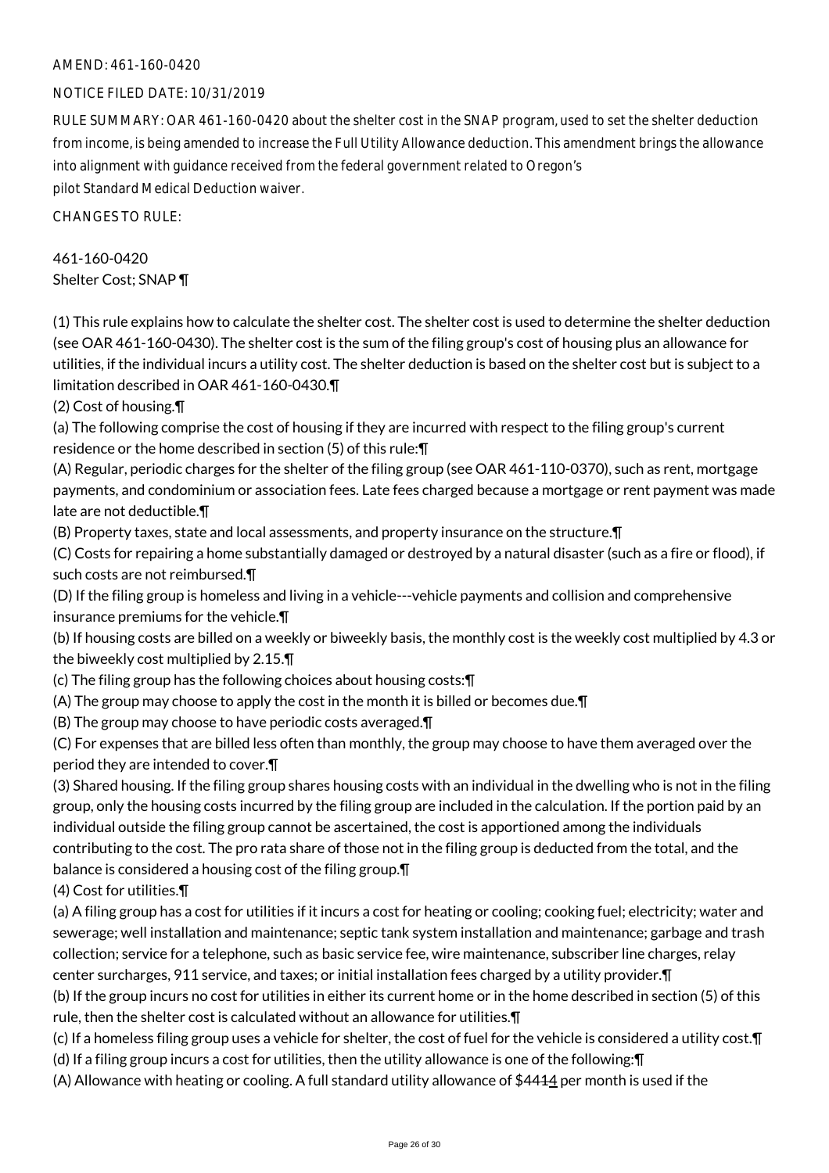# AMEND: 461-160-0420

# NOTICE FILED DATE: 10/31/2019

RULE SUMMARY: OAR 461-160-0420 about the shelter cost in the SNAP program, used to set the shelter deduction from income, is being amended to increase the Full Utility Allowance deduction. This amendment brings the allowance into alignment with guidance received from the federal government related to Oregon's pilot Standard Medical Deduction waiver.

CHANGES TO RULE:

# 461-160-0420 Shelter Cost; SNAP ¶

(1) This rule explains how to calculate the shelter cost. The shelter cost is used to determine the shelter deduction (see OAR 461-160-0430). The shelter cost is the sum of the filing group's cost of housing plus an allowance for utilities, if the individual incurs a utility cost. The shelter deduction is based on the shelter cost but is subject to a limitation described in OAR 461-160-0430.¶

(2) Cost of housing.¶

(a) The following comprise the cost of housing if they are incurred with respect to the filing group's current residence or the home described in section (5) of this rule:¶

(A) Regular, periodic charges for the shelter of the filing group (see OAR 461-110-0370), such as rent, mortgage payments, and condominium or association fees. Late fees charged because a mortgage or rent payment was made late are not deductible.¶

(B) Property taxes, state and local assessments, and property insurance on the structure.¶

(C) Costs for repairing a home substantially damaged or destroyed by a natural disaster (such as a fire or flood), if such costs are not reimbursed.¶

(D) If the filing group is homeless and living in a vehicle---vehicle payments and collision and comprehensive insurance premiums for the vehicle.¶

(b) If housing costs are billed on a weekly or biweekly basis, the monthly cost is the weekly cost multiplied by 4.3 or the biweekly cost multiplied by 2.15.¶

(c) The filing group has the following choices about housing costs:¶

(A) The group may choose to apply the cost in the month it is billed or becomes due.¶

(B) The group may choose to have periodic costs averaged.¶

(C) For expenses that are billed less often than monthly, the group may choose to have them averaged over the period they are intended to cover.¶

(3) Shared housing. If the filing group shares housing costs with an individual in the dwelling who is not in the filing group, only the housing costs incurred by the filing group are included in the calculation. If the portion paid by an individual outside the filing group cannot be ascertained, the cost is apportioned among the individuals contributing to the cost. The pro rata share of those not in the filing group is deducted from the total, and the balance is considered a housing cost of the filing group.¶

(4) Cost for utilities.¶

(a) A filing group has a cost for utilities if it incurs a cost for heating or cooling; cooking fuel; electricity; water and sewerage; well installation and maintenance; septic tank system installation and maintenance; garbage and trash collection; service for a telephone, such as basic service fee, wire maintenance, subscriber line charges, relay center surcharges, 911 service, and taxes; or initial installation fees charged by a utility provider.¶

(b) If the group incurs no cost for utilities in either its current home or in the home described in section (5) of this rule, then the shelter cost is calculated without an allowance for utilities.¶

(c) If a homeless filing group uses a vehicle for shelter, the cost of fuel for the vehicle is considered a utility cost.¶

(d) If a filing group incurs a cost for utilities, then the utility allowance is one of the following:¶

(A) Allowance with heating or cooling. A full standard utility allowance of \$4414 per month is used if the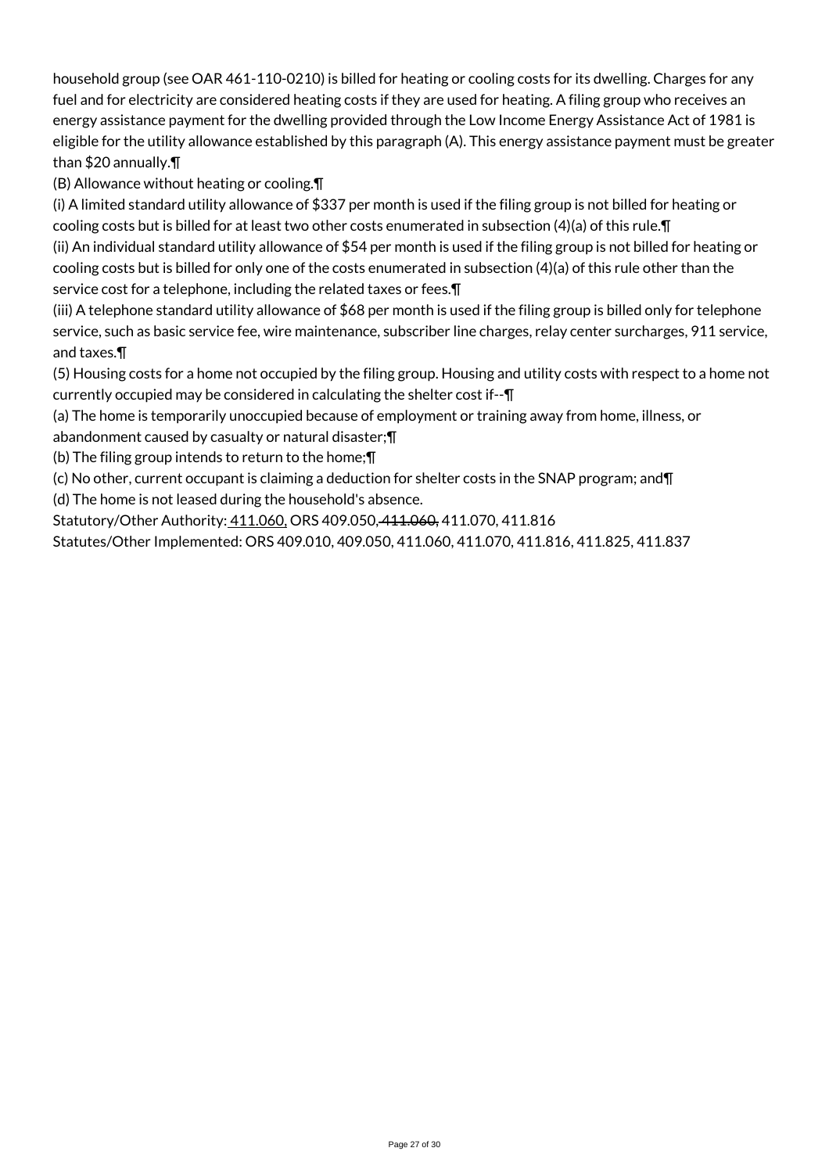household group (see OAR 461-110-0210) is billed for heating or cooling costs for its dwelling. Charges for any fuel and for electricity are considered heating costs if they are used for heating. A filing group who receives an energy assistance payment for the dwelling provided through the Low Income Energy Assistance Act of 1981 is eligible for the utility allowance established by this paragraph (A). This energy assistance payment must be greater than \$20 annually.¶

(B) Allowance without heating or cooling.¶

(i) A limited standard utility allowance of \$337 per month is used if the filing group is not billed for heating or cooling costs but is billed for at least two other costs enumerated in subsection (4)(a) of this rule.¶ (ii) An individual standard utility allowance of \$54 per month is used if the filing group is not billed for heating or cooling costs but is billed for only one of the costs enumerated in subsection (4)(a) of this rule other than the

service cost for a telephone, including the related taxes or fees.¶

(iii) A telephone standard utility allowance of \$68 per month is used if the filing group is billed only for telephone service, such as basic service fee, wire maintenance, subscriber line charges, relay center surcharges, 911 service, and taxes.¶

(5) Housing costs for a home not occupied by the filing group. Housing and utility costs with respect to a home not currently occupied may be considered in calculating the shelter cost if--¶

(a) The home is temporarily unoccupied because of employment or training away from home, illness, or

abandonment caused by casualty or natural disaster;¶

(b) The filing group intends to return to the home;¶

(c) No other, current occupant is claiming a deduction for shelter costs in the SNAP program; and¶

(d) The home is not leased during the household's absence.

Statutory/Other Authority: 411.060, ORS 409.050, 411.060, 411.070, 411.816

Statutes/Other Implemented: ORS 409.010, 409.050, 411.060, 411.070, 411.816, 411.825, 411.837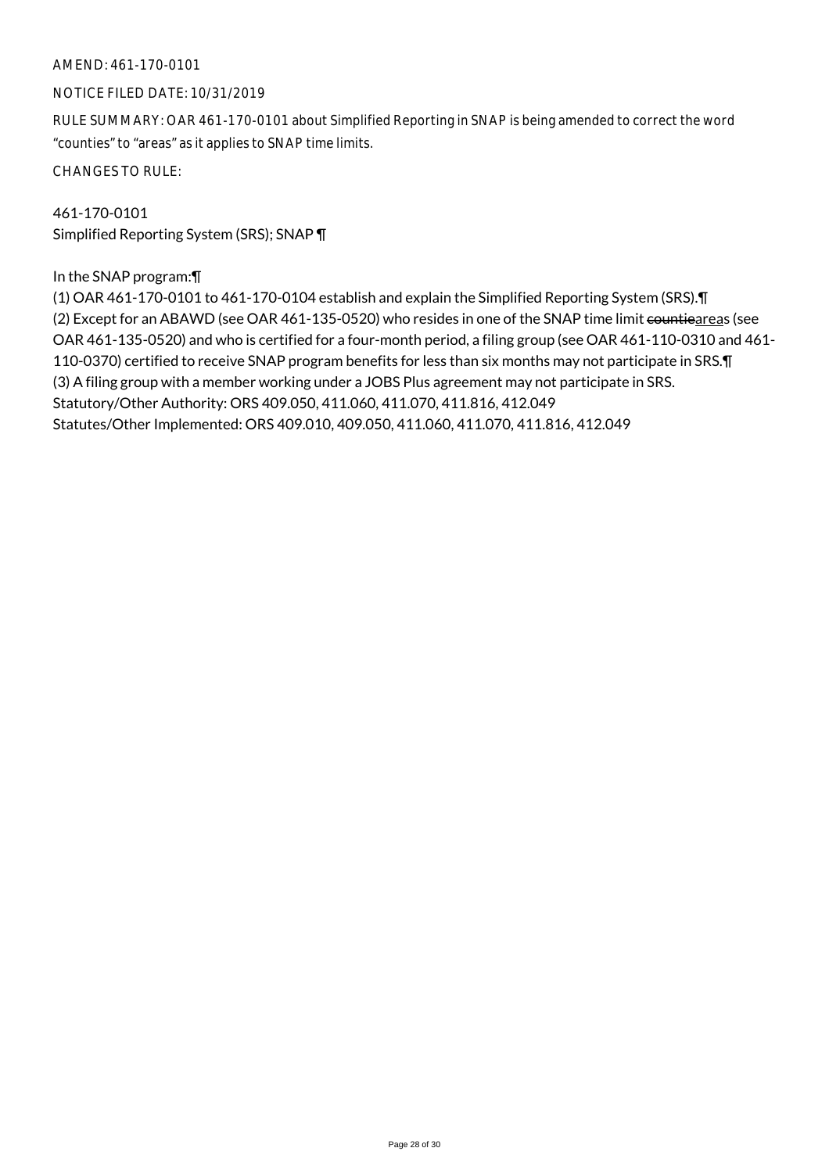# AMEND: 461-170-0101

#### NOTICE FILED DATE: 10/31/2019

RULE SUMMARY: OAR 461-170-0101 about Simplified Reporting in SNAP is being amended to correct the word "counties" to "areas" as it applies to SNAP time limits.

CHANGES TO RULE:

461-170-0101 Simplified Reporting System (SRS); SNAP ¶

### In the SNAP program:¶

(1) OAR 461-170-0101 to 461-170-0104 establish and explain the Simplified Reporting System (SRS).¶ (2) Except for an ABAWD (see OAR 461-135-0520) who resides in one of the SNAP time limit countieareas (see OAR 461-135-0520) and who is certified for a four-month period, a filing group (see OAR 461-110-0310 and 461- 110-0370) certified to receive SNAP program benefits for less than six months may not participate in SRS.¶ (3) A filing group with a member working under a JOBS Plus agreement may not participate in SRS. Statutory/Other Authority: ORS 409.050, 411.060, 411.070, 411.816, 412.049 Statutes/Other Implemented: ORS 409.010, 409.050, 411.060, 411.070, 411.816, 412.049